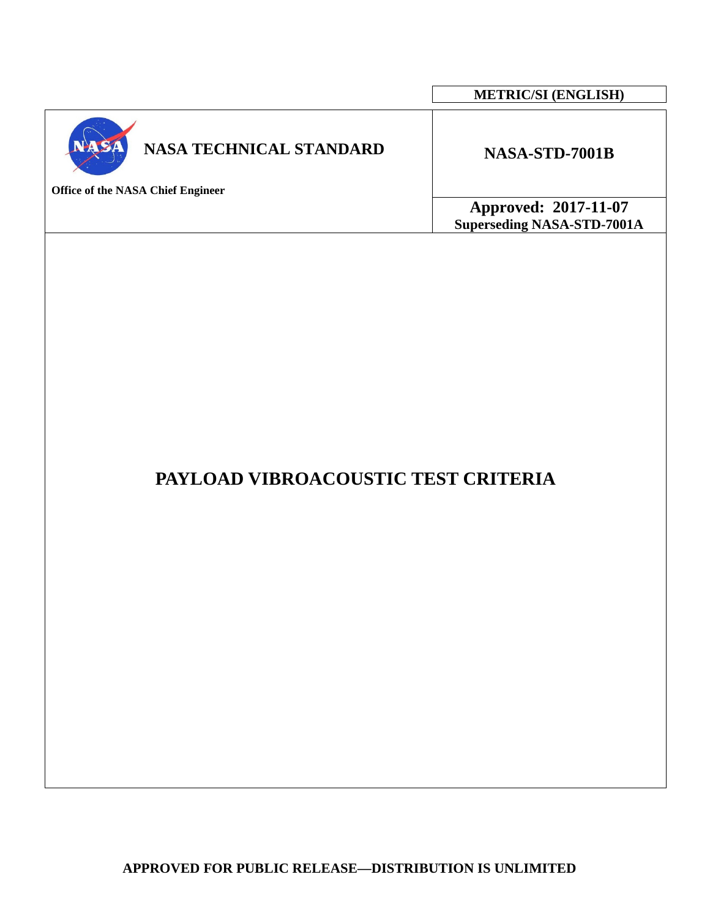|                                                                            | <b>METRIC/SI (ENGLISH)</b>                                |
|----------------------------------------------------------------------------|-----------------------------------------------------------|
| <b>NASA TECHNICAL STANDARD</b><br><b>Office of the NASA Chief Engineer</b> | NASA-STD-7001B                                            |
|                                                                            | Approved: 2017-11-07<br><b>Superseding NASA-STD-7001A</b> |
|                                                                            |                                                           |

 $\Gamma$ 

# **PAYLOAD VIBROACOUSTIC TEST CRITERIA**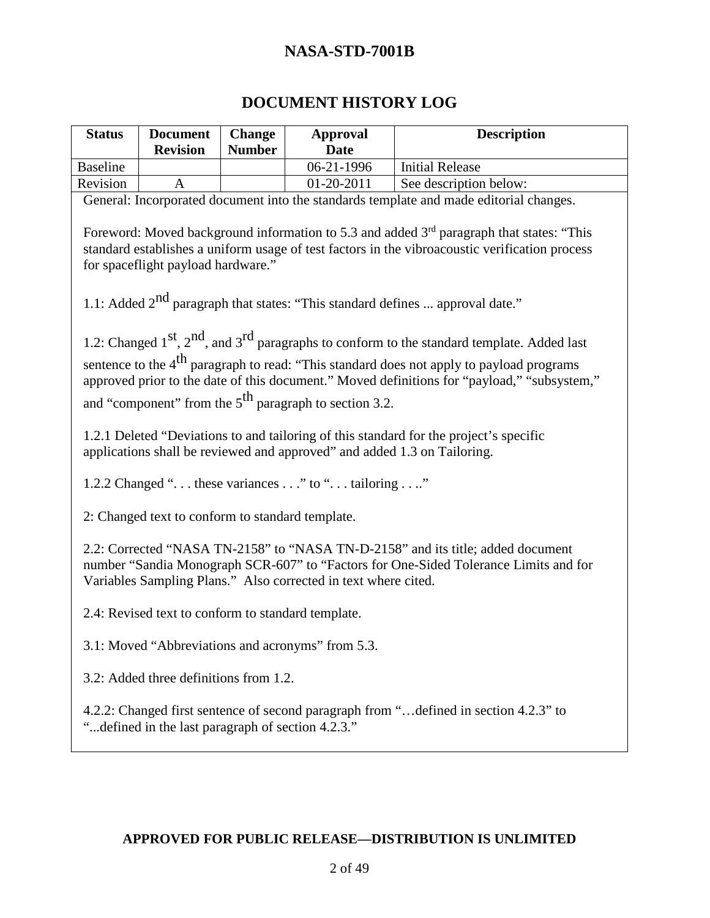### **DOCUMENT HISTORY LOG**

| <b>Status</b>                                                                                                                                                                                                                                | <b>Document</b><br><b>Revision</b>                 | <b>Change</b><br><b>Number</b> | <b>Approval</b><br><b>Date</b>                                           | <b>Description</b>                                                                                                                                                                        |
|----------------------------------------------------------------------------------------------------------------------------------------------------------------------------------------------------------------------------------------------|----------------------------------------------------|--------------------------------|--------------------------------------------------------------------------|-------------------------------------------------------------------------------------------------------------------------------------------------------------------------------------------|
| <b>Baseline</b>                                                                                                                                                                                                                              |                                                    |                                | 06-21-1996                                                               | <b>Initial Release</b>                                                                                                                                                                    |
| Revision                                                                                                                                                                                                                                     | A                                                  |                                | 01-20-2011                                                               | See description below:                                                                                                                                                                    |
|                                                                                                                                                                                                                                              |                                                    |                                |                                                                          | General: Incorporated document into the standards template and made editorial changes.                                                                                                    |
| Foreword: Moved background information to 5.3 and added 3 <sup>rd</sup> paragraph that states: "This<br>standard establishes a uniform usage of test factors in the vibroacoustic verification process<br>for spaceflight payload hardware." |                                                    |                                |                                                                          |                                                                                                                                                                                           |
|                                                                                                                                                                                                                                              |                                                    |                                |                                                                          | 1.1: Added $2^{nd}$ paragraph that states: "This standard defines  approval date."                                                                                                        |
|                                                                                                                                                                                                                                              |                                                    |                                |                                                                          | 1.2: Changed $1^{st}$ , $2^{nd}$ , and $3^{rd}$ paragraphs to conform to the standard template. Added last                                                                                |
|                                                                                                                                                                                                                                              |                                                    |                                |                                                                          | sentence to the $4th$ paragraph to read: "This standard does not apply to payload programs<br>approved prior to the date of this document." Moved definitions for "payload," "subsystem," |
|                                                                                                                                                                                                                                              |                                                    |                                | and "component" from the $5th$ paragraph to section 3.2.                 |                                                                                                                                                                                           |
|                                                                                                                                                                                                                                              |                                                    |                                | applications shall be reviewed and approved" and added 1.3 on Tailoring. | 1.2.1 Deleted "Deviations to and tailoring of this standard for the project's specific                                                                                                    |
|                                                                                                                                                                                                                                              |                                                    |                                | 1.2.2 Changed " these variances " to " tailoring "                       |                                                                                                                                                                                           |
|                                                                                                                                                                                                                                              | 2: Changed text to conform to standard template.   |                                |                                                                          |                                                                                                                                                                                           |
| 2.2: Corrected "NASA TN-2158" to "NASA TN-D-2158" and its title; added document<br>number "Sandia Monograph SCR-607" to "Factors for One-Sided Tolerance Limits and for<br>Variables Sampling Plans." Also corrected in text where cited.    |                                                    |                                |                                                                          |                                                                                                                                                                                           |
|                                                                                                                                                                                                                                              | 2.4: Revised text to conform to standard template. |                                |                                                                          |                                                                                                                                                                                           |
|                                                                                                                                                                                                                                              | 3.1: Moved "Abbreviations and acronyms" from 5.3.  |                                |                                                                          |                                                                                                                                                                                           |
|                                                                                                                                                                                                                                              | 3.2: Added three definitions from 1.2.             |                                |                                                                          |                                                                                                                                                                                           |
| 4.2.2: Changed first sentence of second paragraph from " defined in section 4.2.3" to<br>"defined in the last paragraph of section 4.2.3."                                                                                                   |                                                    |                                |                                                                          |                                                                                                                                                                                           |
|                                                                                                                                                                                                                                              |                                                    |                                |                                                                          |                                                                                                                                                                                           |
|                                                                                                                                                                                                                                              |                                                    |                                |                                                                          |                                                                                                                                                                                           |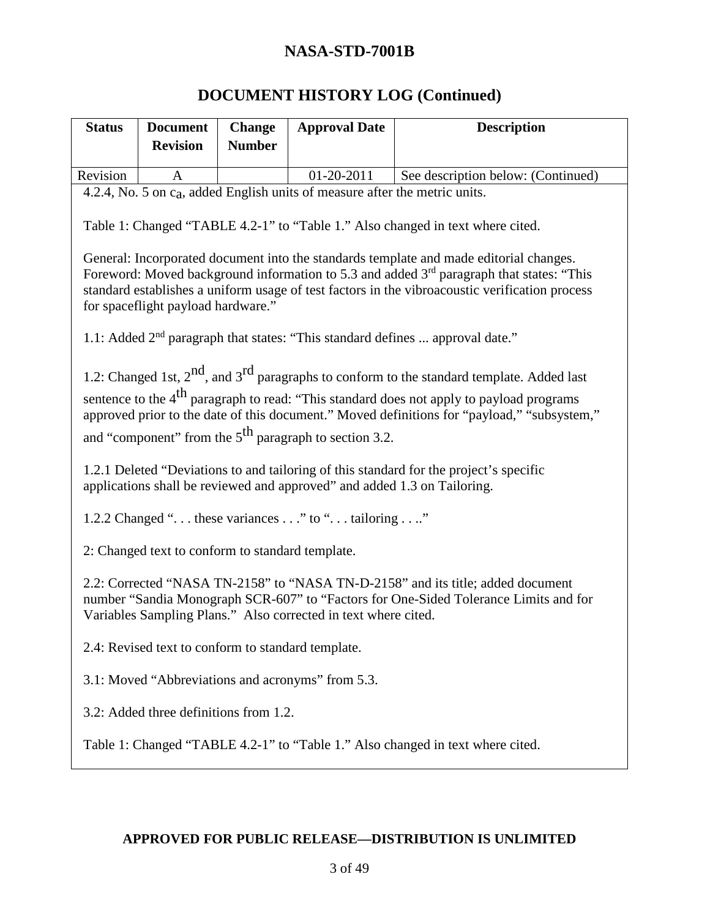# **DOCUMENT HISTORY LOG (Continued)**

| <b>Status</b> | <b>Document</b>                                                                                                                                                         | <b>Change</b> | <b>Approval Date</b>                                                                                  | <b>Description</b>                                                                                   |
|---------------|-------------------------------------------------------------------------------------------------------------------------------------------------------------------------|---------------|-------------------------------------------------------------------------------------------------------|------------------------------------------------------------------------------------------------------|
|               | <b>Revision</b>                                                                                                                                                         | <b>Number</b> |                                                                                                       |                                                                                                      |
|               |                                                                                                                                                                         |               |                                                                                                       |                                                                                                      |
| Revision      | $\mathbf{A}$                                                                                                                                                            |               | 01-20-2011<br>4.2.4, No. 5 on c <sub>a</sub> , added English units of measure after the metric units. | See description below: (Continued)                                                                   |
|               |                                                                                                                                                                         |               |                                                                                                       |                                                                                                      |
|               |                                                                                                                                                                         |               |                                                                                                       | Table 1: Changed "TABLE 4.2-1" to "Table 1." Also changed in text where cited.                       |
|               |                                                                                                                                                                         |               |                                                                                                       | General: Incorporated document into the standards template and made editorial changes.               |
|               |                                                                                                                                                                         |               |                                                                                                       | Foreword: Moved background information to 5.3 and added 3 <sup>rd</sup> paragraph that states: "This |
|               |                                                                                                                                                                         |               |                                                                                                       | standard establishes a uniform usage of test factors in the vibroacoustic verification process       |
|               | for spaceflight payload hardware."                                                                                                                                      |               |                                                                                                       |                                                                                                      |
|               |                                                                                                                                                                         |               |                                                                                                       | 1.1: Added 2 <sup>nd</sup> paragraph that states: "This standard defines  approval date."            |
|               |                                                                                                                                                                         |               |                                                                                                       | 1.2: Changed 1st, $2^{nd}$ , and $3^{rd}$ paragraphs to conform to the standard template. Added last |
|               |                                                                                                                                                                         |               |                                                                                                       | sentence to the 4 <sup>th</sup> paragraph to read: "This standard does not apply to payload programs |
|               |                                                                                                                                                                         |               |                                                                                                       | approved prior to the date of this document." Moved definitions for "payload," "subsystem,"          |
|               |                                                                                                                                                                         |               | and "component" from the $5th$ paragraph to section 3.2.                                              |                                                                                                      |
|               |                                                                                                                                                                         |               |                                                                                                       |                                                                                                      |
|               |                                                                                                                                                                         |               | applications shall be reviewed and approved" and added 1.3 on Tailoring.                              | 1.2.1 Deleted "Deviations to and tailoring of this standard for the project's specific               |
|               |                                                                                                                                                                         |               | 1.2.2 Changed " these variances " to " tailoring "                                                    |                                                                                                      |
|               | 2: Changed text to conform to standard template.                                                                                                                        |               |                                                                                                       |                                                                                                      |
|               | 2.2: Corrected "NASA TN-2158" to "NASA TN-D-2158" and its title; added document<br>number "Sandia Monograph SCR-607" to "Factors for One-Sided Tolerance Limits and for |               |                                                                                                       |                                                                                                      |
|               |                                                                                                                                                                         |               | Variables Sampling Plans." Also corrected in text where cited.                                        |                                                                                                      |
|               | 2.4: Revised text to conform to standard template.                                                                                                                      |               |                                                                                                       |                                                                                                      |
|               | 3.1: Moved "Abbreviations and acronyms" from 5.3.                                                                                                                       |               |                                                                                                       |                                                                                                      |
|               | 3.2: Added three definitions from 1.2.                                                                                                                                  |               |                                                                                                       |                                                                                                      |
|               | Table 1: Changed "TABLE 4.2-1" to "Table 1." Also changed in text where cited.                                                                                          |               |                                                                                                       |                                                                                                      |
|               |                                                                                                                                                                         |               |                                                                                                       |                                                                                                      |
|               |                                                                                                                                                                         |               |                                                                                                       |                                                                                                      |
|               |                                                                                                                                                                         |               |                                                                                                       |                                                                                                      |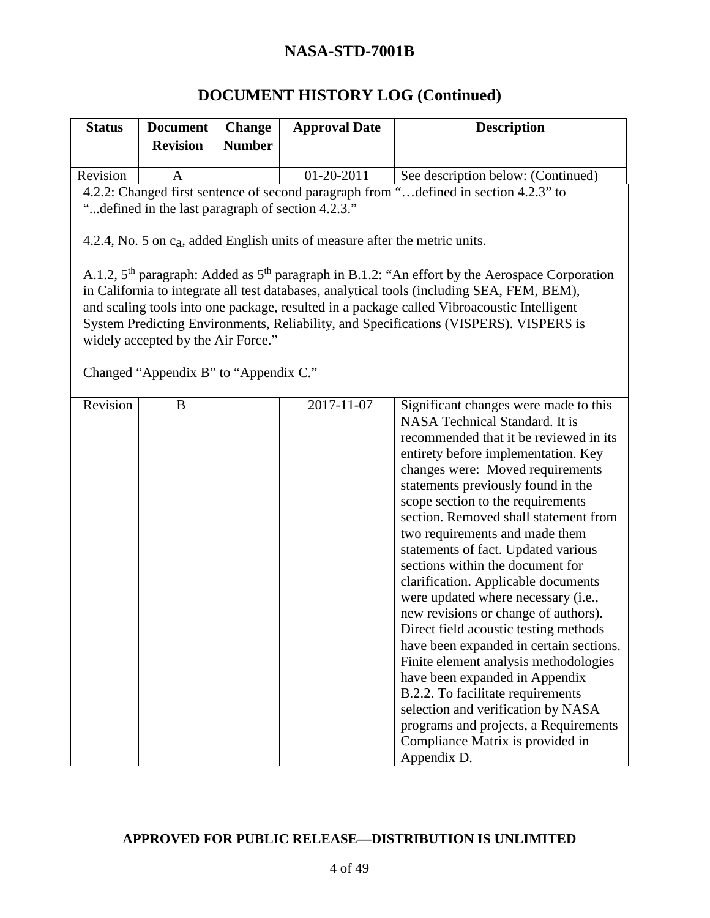# **DOCUMENT HISTORY LOG (Continued)**

| <b>Status</b>                                                                                                                                                                                                                                                                                                                                                                                                                 | <b>Document</b>                       | <b>Change</b> | <b>Approval Date</b>                                                                    | <b>Description</b>                                                                                                                                                                                                                                                                                                                                                                                                                                                                                                                                                                                                                                                                                                                                                                                                                                                                        |
|-------------------------------------------------------------------------------------------------------------------------------------------------------------------------------------------------------------------------------------------------------------------------------------------------------------------------------------------------------------------------------------------------------------------------------|---------------------------------------|---------------|-----------------------------------------------------------------------------------------|-------------------------------------------------------------------------------------------------------------------------------------------------------------------------------------------------------------------------------------------------------------------------------------------------------------------------------------------------------------------------------------------------------------------------------------------------------------------------------------------------------------------------------------------------------------------------------------------------------------------------------------------------------------------------------------------------------------------------------------------------------------------------------------------------------------------------------------------------------------------------------------------|
|                                                                                                                                                                                                                                                                                                                                                                                                                               | <b>Revision</b>                       | <b>Number</b> |                                                                                         |                                                                                                                                                                                                                                                                                                                                                                                                                                                                                                                                                                                                                                                                                                                                                                                                                                                                                           |
| Revision                                                                                                                                                                                                                                                                                                                                                                                                                      | A                                     |               | 01-20-2011                                                                              | See description below: (Continued)                                                                                                                                                                                                                                                                                                                                                                                                                                                                                                                                                                                                                                                                                                                                                                                                                                                        |
|                                                                                                                                                                                                                                                                                                                                                                                                                               |                                       |               |                                                                                         | 4.2.2: Changed first sentence of second paragraph from "defined in section 4.2.3" to                                                                                                                                                                                                                                                                                                                                                                                                                                                                                                                                                                                                                                                                                                                                                                                                      |
|                                                                                                                                                                                                                                                                                                                                                                                                                               |                                       |               | "defined in the last paragraph of section 4.2.3."                                       |                                                                                                                                                                                                                                                                                                                                                                                                                                                                                                                                                                                                                                                                                                                                                                                                                                                                                           |
|                                                                                                                                                                                                                                                                                                                                                                                                                               |                                       |               | 4.2.4, No. 5 on c <sub>a</sub> , added English units of measure after the metric units. |                                                                                                                                                                                                                                                                                                                                                                                                                                                                                                                                                                                                                                                                                                                                                                                                                                                                                           |
| A.1.2, $5th$ paragraph: Added as $5th$ paragraph in B.1.2: "An effort by the Aerospace Corporation<br>in California to integrate all test databases, analytical tools (including SEA, FEM, BEM),<br>and scaling tools into one package, resulted in a package called Vibroacoustic Intelligent<br>System Predicting Environments, Reliability, and Specifications (VISPERS). VISPERS is<br>widely accepted by the Air Force." |                                       |               |                                                                                         |                                                                                                                                                                                                                                                                                                                                                                                                                                                                                                                                                                                                                                                                                                                                                                                                                                                                                           |
|                                                                                                                                                                                                                                                                                                                                                                                                                               | Changed "Appendix B" to "Appendix C." |               |                                                                                         |                                                                                                                                                                                                                                                                                                                                                                                                                                                                                                                                                                                                                                                                                                                                                                                                                                                                                           |
| Revision                                                                                                                                                                                                                                                                                                                                                                                                                      | B                                     |               | 2017-11-07                                                                              | Significant changes were made to this<br>NASA Technical Standard. It is<br>recommended that it be reviewed in its<br>entirety before implementation. Key<br>changes were: Moved requirements<br>statements previously found in the<br>scope section to the requirements<br>section. Removed shall statement from<br>two requirements and made them<br>statements of fact. Updated various<br>sections within the document for<br>clarification. Applicable documents<br>were updated where necessary (i.e.,<br>new revisions or change of authors).<br>Direct field acoustic testing methods<br>have been expanded in certain sections.<br>Finite element analysis methodologies<br>have been expanded in Appendix<br>B.2.2. To facilitate requirements<br>selection and verification by NASA<br>programs and projects, a Requirements<br>Compliance Matrix is provided in<br>Appendix D. |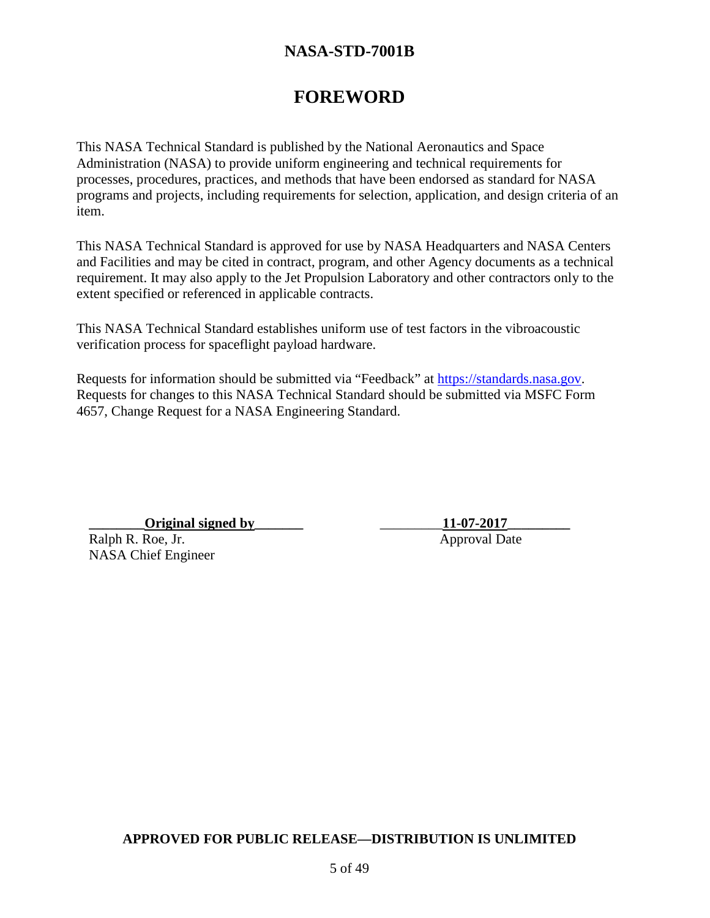# **FOREWORD**

This NASA Technical Standard is published by the National Aeronautics and Space Administration (NASA) to provide uniform engineering and technical requirements for processes, procedures, practices, and methods that have been endorsed as standard for NASA programs and projects, including requirements for selection, application, and design criteria of an item.

This NASA Technical Standard is approved for use by NASA Headquarters and NASA Centers and Facilities and may be cited in contract, program, and other Agency documents as a technical requirement. It may also apply to the Jet Propulsion Laboratory and other contractors only to the extent specified or referenced in applicable contracts.

This NASA Technical Standard establishes uniform use of test factors in the vibroacoustic verification process for spaceflight payload hardware.

Requests for information should be submitted via "Feedback" at [https://standards.nasa.gov.](http://standards.nasa.gov/) Requests for changes to this NASA Technical Standard should be submitted via MSFC Form 4657, Change Request for a NASA Engineering Standard.

**\_\_\_\_\_\_\_\_Original signed by\_\_\_\_\_\_\_** \_\_\_\_\_\_\_\_\_**11-07-2017\_\_\_\_\_\_\_\_\_** Ralph R. Roe, Jr. Approval Date NASA Chief Engineer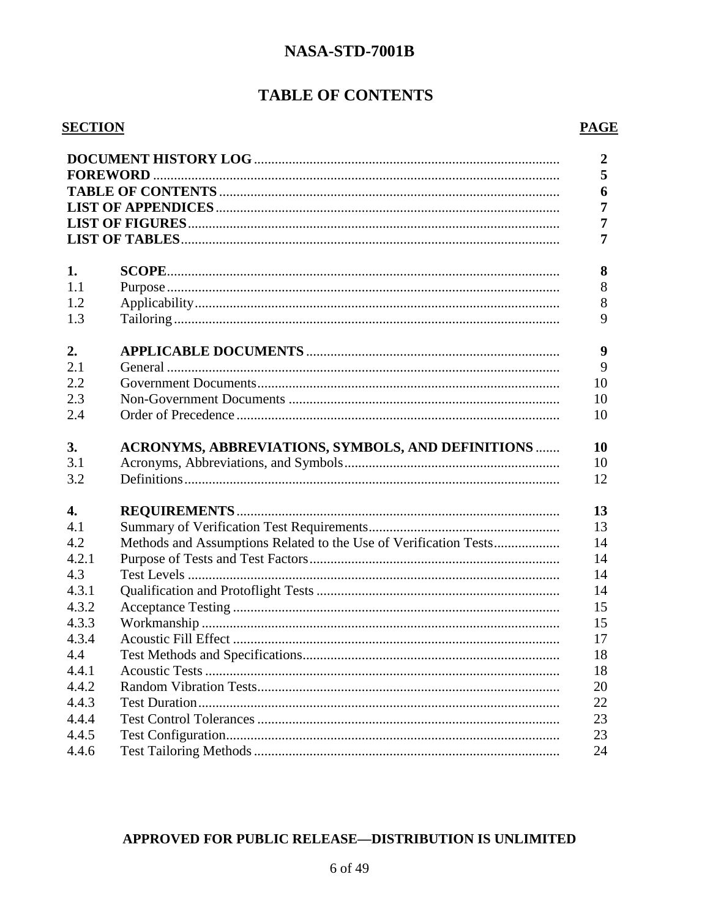### **TABLE OF CONTENTS**

#### **SECTION**

|                  |                                                                  | $\overline{2}$<br>5<br>6<br>$\overline{7}$<br>$\overline{7}$<br>$\overline{7}$ |
|------------------|------------------------------------------------------------------|--------------------------------------------------------------------------------|
| 1.               |                                                                  | 8                                                                              |
| 1.1              |                                                                  | 8                                                                              |
| 1.2              |                                                                  | 8                                                                              |
| 1.3              |                                                                  | 9                                                                              |
| 2.               |                                                                  | 9                                                                              |
| 2.1              |                                                                  | 9                                                                              |
| 2.2              |                                                                  | 10                                                                             |
| 2.3              |                                                                  | 10                                                                             |
| 2.4              |                                                                  | 10                                                                             |
| 3.<br>3.1<br>3.2 | <b>ACRONYMS, ABBREVIATIONS, SYMBOLS, AND DEFINITIONS </b>        | 10<br>10<br>12                                                                 |
| 4.               |                                                                  | 13                                                                             |
| 4.1              |                                                                  | 13                                                                             |
| 4.2              | Methods and Assumptions Related to the Use of Verification Tests | 14                                                                             |
| 4.2.1            |                                                                  | 14                                                                             |
| 4.3              |                                                                  | 14                                                                             |
| 4.3.1            |                                                                  | 14                                                                             |
| 4.3.2            |                                                                  | 15                                                                             |
| 4.3.3            |                                                                  | 15                                                                             |
| 4.3.4            |                                                                  | 17                                                                             |
| 4.4              |                                                                  | 18                                                                             |
| 4.4.1            |                                                                  | 18                                                                             |
| 4.4.2            |                                                                  | 20                                                                             |
| 4.4.3            |                                                                  | 22                                                                             |
| 4.4.4            |                                                                  | 23                                                                             |
| 4.4.5            |                                                                  | 23                                                                             |
| 4.4.6            |                                                                  | 24                                                                             |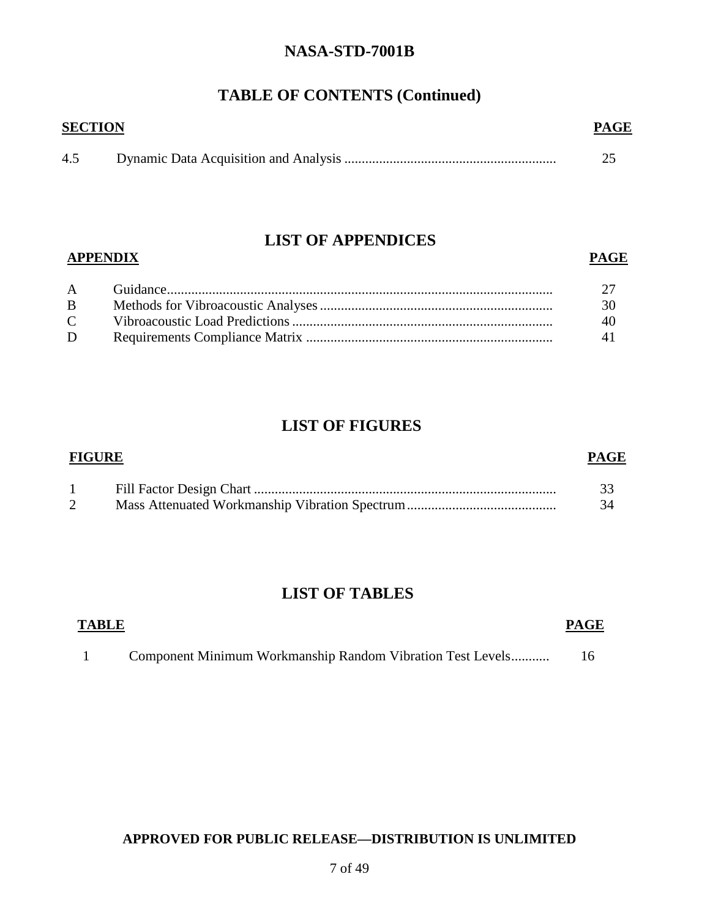### **TABLE OF CONTENTS (Continued)**

| <b>SECTION</b> | <b>PAGE</b> |
|----------------|-------------|
| 4.5            |             |

### **LIST OF APPENDICES**

#### **APPENDIX PAGE**

| B            | 30 F |
|--------------|------|
| $\mathbf{C}$ |      |
| D            | 41 - |

### **LIST OF FIGURES**

| <b>FIGURE</b> |  | <b>PAGE</b> |
|---------------|--|-------------|
|               |  |             |
|               |  | -34         |

### **LIST OF TABLES**

| <b>TABLE</b> |                                                            | <b>PAGE</b> |
|--------------|------------------------------------------------------------|-------------|
|              | Component Minimum Workmanship Random Vibration Test Levels |             |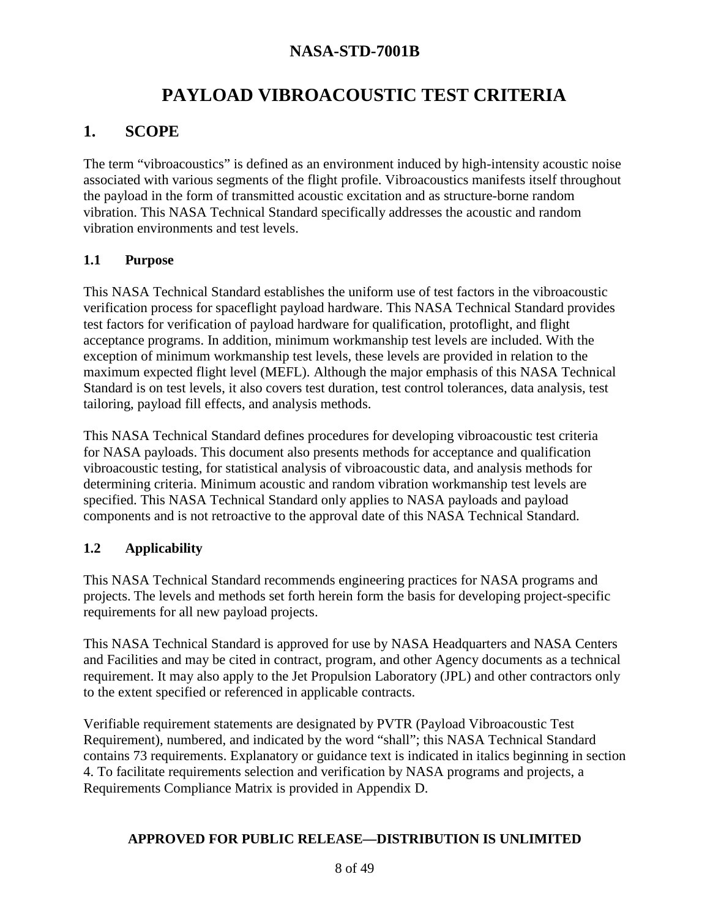# **PAYLOAD VIBROACOUSTIC TEST CRITERIA**

## **1. SCOPE**

The term "vibroacoustics" is defined as an environment induced by high-intensity acoustic noise associated with various segments of the flight profile. Vibroacoustics manifests itself throughout the payload in the form of transmitted acoustic excitation and as structure-borne random vibration. This NASA Technical Standard specifically addresses the acoustic and random vibration environments and test levels.

#### **1.1 Purpose**

This NASA Technical Standard establishes the uniform use of test factors in the vibroacoustic verification process for spaceflight payload hardware. This NASA Technical Standard provides test factors for verification of payload hardware for qualification, protoflight, and flight acceptance programs. In addition, minimum workmanship test levels are included. With the exception of minimum workmanship test levels, these levels are provided in relation to the maximum expected flight level (MEFL). Although the major emphasis of this NASA Technical Standard is on test levels, it also covers test duration, test control tolerances, data analysis, test tailoring, payload fill effects, and analysis methods.

This NASA Technical Standard defines procedures for developing vibroacoustic test criteria for NASA payloads. This document also presents methods for acceptance and qualification vibroacoustic testing, for statistical analysis of vibroacoustic data, and analysis methods for determining criteria. Minimum acoustic and random vibration workmanship test levels are specified. This NASA Technical Standard only applies to NASA payloads and payload components and is not retroactive to the approval date of this NASA Technical Standard.

#### **1.2 Applicability**

This NASA Technical Standard recommends engineering practices for NASA programs and projects. The levels and methods set forth herein form the basis for developing project-specific requirements for all new payload projects.

This NASA Technical Standard is approved for use by NASA Headquarters and NASA Centers and Facilities and may be cited in contract, program, and other Agency documents as a technical requirement. It may also apply to the Jet Propulsion Laboratory (JPL) and other contractors only to the extent specified or referenced in applicable contracts.

Verifiable requirement statements are designated by PVTR (Payload Vibroacoustic Test Requirement), numbered, and indicated by the word "shall"; this NASA Technical Standard contains 73 requirements. Explanatory or guidance text is indicated in italics beginning in section 4. To facilitate requirements selection and verification by NASA programs and projects, a Requirements Compliance Matrix is provided in Appendix D.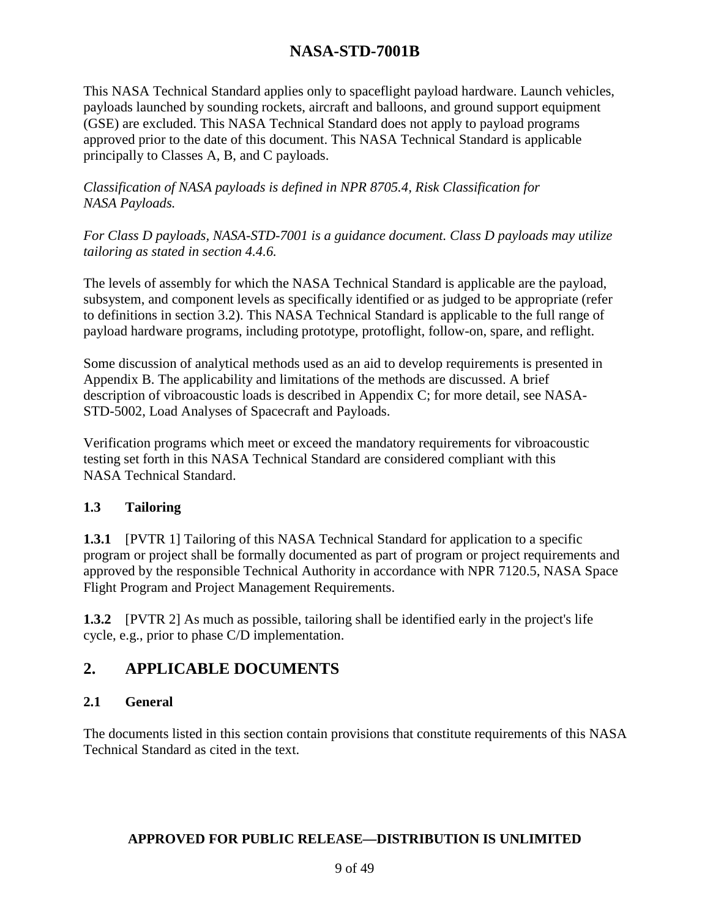This NASA Technical Standard applies only to spaceflight payload hardware. Launch vehicles, payloads launched by sounding rockets, aircraft and balloons, and ground support equipment (GSE) are excluded. This NASA Technical Standard does not apply to payload programs approved prior to the date of this document. This NASA Technical Standard is applicable principally to Classes A, B, and C payloads.

*Classification of NASA payloads is defined in NPR 8705.4, Risk Classification for NASA Payloads.*

*For Class D payloads, NASA-STD-7001 is a guidance document. Class D payloads may utilize tailoring as stated in section 4.4.6.*

The levels of assembly for which the NASA Technical Standard is applicable are the payload, subsystem, and component levels as specifically identified or as judged to be appropriate (refer to definitions in section 3.2). This NASA Technical Standard is applicable to the full range of payload hardware programs, including prototype, protoflight, follow-on, spare, and reflight.

Some discussion of analytical methods used as an aid to develop requirements is presented in Appendix B. The applicability and limitations of the methods are discussed. A brief description of vibroacoustic loads is described in Appendix C; for more detail, see NASA-STD-5002, Load Analyses of Spacecraft and Payloads.

Verification programs which meet or exceed the mandatory requirements for vibroacoustic testing set forth in this NASA Technical Standard are considered compliant with this NASA Technical Standard.

#### **1.3 Tailoring**

**1.3.1** [PVTR 1] Tailoring of this NASA Technical Standard for application to a specific program or project shall be formally documented as part of program or project requirements and approved by the responsible Technical Authority in accordance with NPR 7120.5, NASA Space Flight Program and Project Management Requirements.

**1.3.2** [PVTR 2] As much as possible, tailoring shall be identified early in the project's life cycle, e.g., prior to phase C/D implementation.

### **2. APPLICABLE DOCUMENTS**

#### **2.1 General**

The documents listed in this section contain provisions that constitute requirements of this NASA Technical Standard as cited in the text.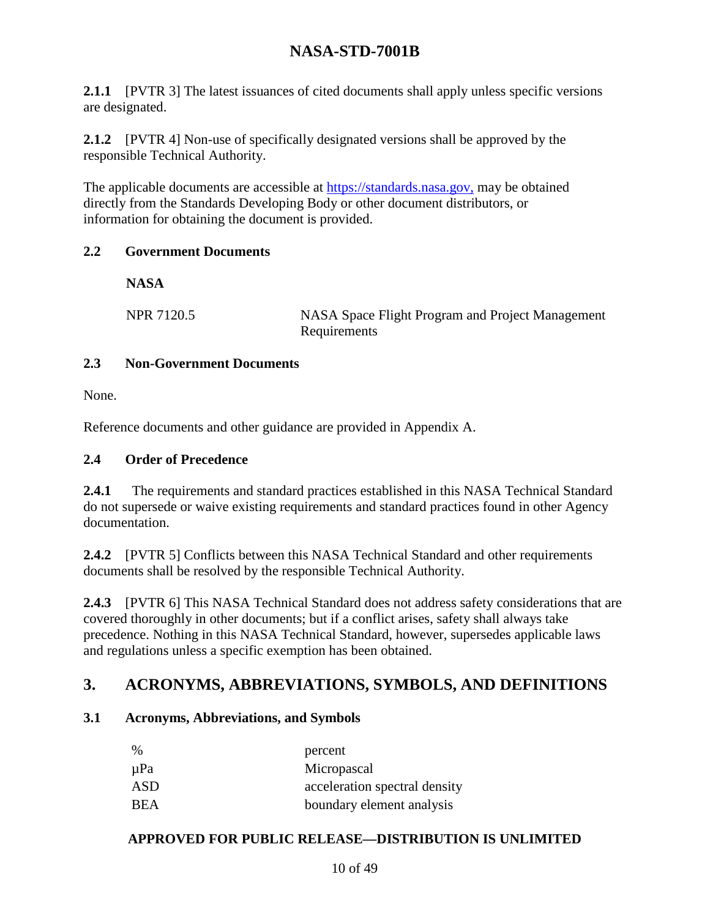**2.1.1** [PVTR 3] The latest issuances of cited documents shall apply unless specific versions are designated.

**2.1.2** [PVTR 4] Non-use of specifically designated versions shall be approved by the responsible Technical Authority.

The applicable documents are accessible at [https://standards.nasa.gov,](https://standards.nasa.gov,/) may be obtained directly from the Standards Developing Body or other document distributors, or information for obtaining the document is provided.

#### **2.2 Government Documents**

**NASA**

NPR 7120.5 NASA Space Flight Program and Project Management Requirements

#### **2.3 Non-Government Documents**

None.

Reference documents and other guidance are provided in Appendix A.

#### **2.4 Order of Precedence**

**2.4.1** The requirements and standard practices established in this NASA Technical Standard do not supersede or waive existing requirements and standard practices found in other Agency documentation.

**2.4.2** [PVTR 5] Conflicts between this NASA Technical Standard and other requirements documents shall be resolved by the responsible Technical Authority.

**2.4.3** [PVTR 6] This NASA Technical Standard does not address safety considerations that are covered thoroughly in other documents; but if a conflict arises, safety shall always take precedence. Nothing in this NASA Technical Standard, however, supersedes applicable laws and regulations unless a specific exemption has been obtained.

### **3. ACRONYMS, ABBREVIATIONS, SYMBOLS, AND DEFINITIONS**

#### **3.1 Acronyms, Abbreviations, and Symbols**

| $\%$ | percent                       |
|------|-------------------------------|
| µPa  | Micropascal                   |
| ASD  | acceleration spectral density |
| BEA  | boundary element analysis     |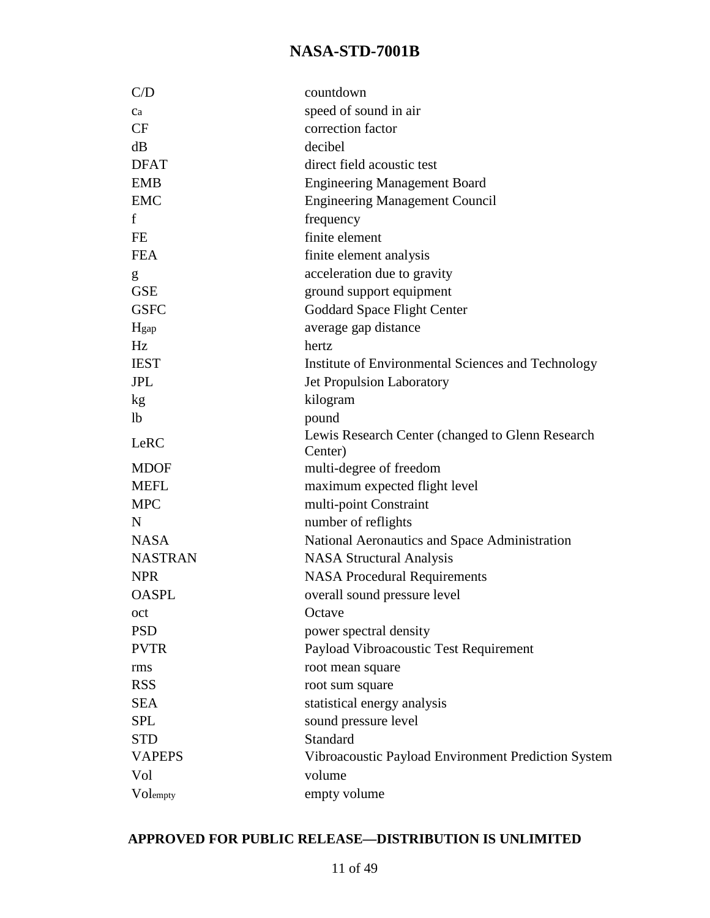| C/D            | countdown                                                   |
|----------------|-------------------------------------------------------------|
| Ca             | speed of sound in air                                       |
| CF             | correction factor                                           |
| dB             | decibel                                                     |
| <b>DFAT</b>    | direct field acoustic test                                  |
| <b>EMB</b>     | <b>Engineering Management Board</b>                         |
| <b>EMC</b>     | <b>Engineering Management Council</b>                       |
| f              | frequency                                                   |
| <b>FE</b>      | finite element                                              |
| <b>FEA</b>     | finite element analysis                                     |
| g              | acceleration due to gravity                                 |
| <b>GSE</b>     | ground support equipment                                    |
| <b>GSFC</b>    | Goddard Space Flight Center                                 |
| Hgap           | average gap distance                                        |
| Hz             | hertz                                                       |
| <b>IEST</b>    | Institute of Environmental Sciences and Technology          |
| <b>JPL</b>     | <b>Jet Propulsion Laboratory</b>                            |
| kg             | kilogram                                                    |
| 1 <sub>b</sub> | pound                                                       |
| LeRC           | Lewis Research Center (changed to Glenn Research<br>Center) |
| <b>MDOF</b>    | multi-degree of freedom                                     |
| <b>MEFL</b>    | maximum expected flight level                               |
| <b>MPC</b>     | multi-point Constraint                                      |
| N              | number of reflights                                         |
| <b>NASA</b>    | National Aeronautics and Space Administration               |
| <b>NASTRAN</b> | <b>NASA Structural Analysis</b>                             |
| <b>NPR</b>     | <b>NASA Procedural Requirements</b>                         |
| <b>OASPL</b>   | overall sound pressure level                                |
| oct            | Octave                                                      |
| <b>PSD</b>     | power spectral density                                      |
| <b>PVTR</b>    | Payload Vibroacoustic Test Requirement                      |
| rms            | root mean square                                            |
| <b>RSS</b>     | root sum square                                             |
| <b>SEA</b>     | statistical energy analysis                                 |
| <b>SPL</b>     | sound pressure level                                        |
| <b>STD</b>     | Standard                                                    |
| <b>VAPEPS</b>  | Vibroacoustic Payload Environment Prediction System         |
| Vol            | volume                                                      |
| Volempty       | empty volume                                                |
|                |                                                             |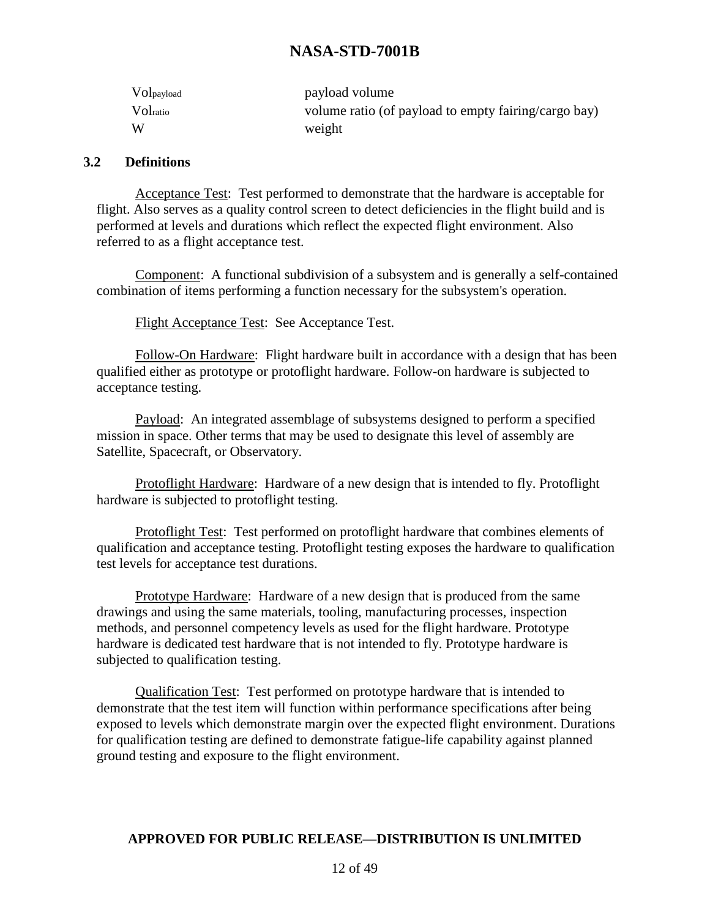| Volpayload | payload volume                                       |
|------------|------------------------------------------------------|
| Voltatio   | volume ratio (of payload to empty fairing/cargo bay) |
| W          | weight                                               |

#### **3.2 Definitions**

Acceptance Test: Test performed to demonstrate that the hardware is acceptable for flight. Also serves as a quality control screen to detect deficiencies in the flight build and is performed at levels and durations which reflect the expected flight environment. Also referred to as a flight acceptance test.

Component: A functional subdivision of a subsystem and is generally a self-contained combination of items performing a function necessary for the subsystem's operation.

Flight Acceptance Test: See Acceptance Test.

Follow-On Hardware: Flight hardware built in accordance with a design that has been qualified either as prototype or protoflight hardware. Follow-on hardware is subjected to acceptance testing.

Payload: An integrated assemblage of subsystems designed to perform a specified mission in space. Other terms that may be used to designate this level of assembly are Satellite, Spacecraft, or Observatory.

Protoflight Hardware: Hardware of a new design that is intended to fly. Protoflight hardware is subjected to protoflight testing.

Protoflight Test: Test performed on protoflight hardware that combines elements of qualification and acceptance testing. Protoflight testing exposes the hardware to qualification test levels for acceptance test durations.

Prototype Hardware: Hardware of a new design that is produced from the same drawings and using the same materials, tooling, manufacturing processes, inspection methods, and personnel competency levels as used for the flight hardware. Prototype hardware is dedicated test hardware that is not intended to fly. Prototype hardware is subjected to qualification testing.

Qualification Test: Test performed on prototype hardware that is intended to demonstrate that the test item will function within performance specifications after being exposed to levels which demonstrate margin over the expected flight environment. Durations for qualification testing are defined to demonstrate fatigue-life capability against planned ground testing and exposure to the flight environment.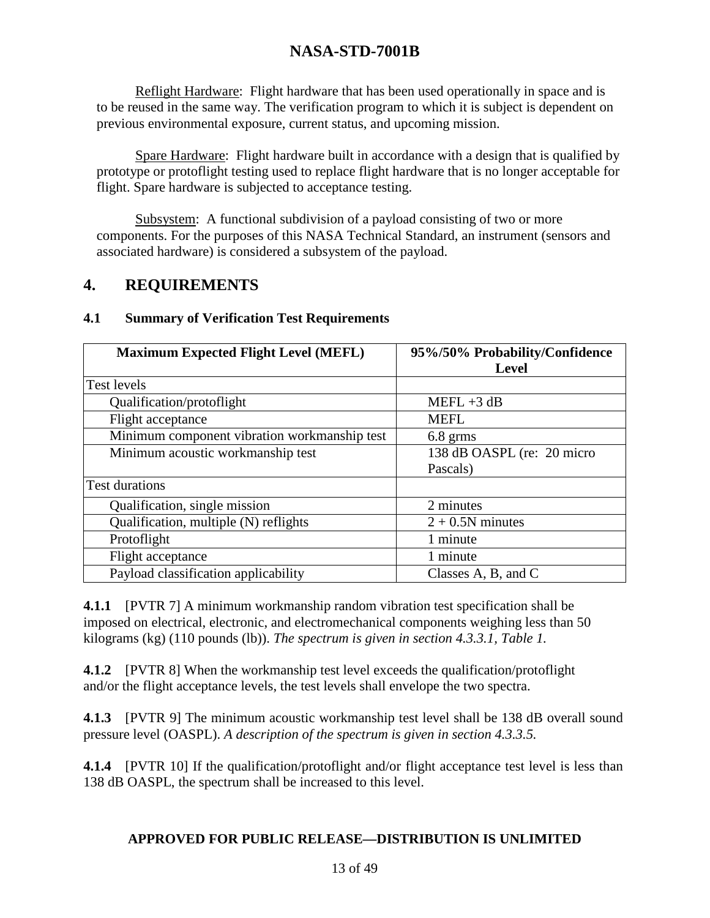Reflight Hardware: Flight hardware that has been used operationally in space and is to be reused in the same way. The verification program to which it is subject is dependent on previous environmental exposure, current status, and upcoming mission.

Spare Hardware: Flight hardware built in accordance with a design that is qualified by prototype or protoflight testing used to replace flight hardware that is no longer acceptable for flight. Spare hardware is subjected to acceptance testing.

Subsystem: A functional subdivision of a payload consisting of two or more components. For the purposes of this NASA Technical Standard, an instrument (sensors and associated hardware) is considered a subsystem of the payload.

### **4. REQUIREMENTS**

| <b>Maximum Expected Flight Level (MEFL)</b>  | 95%/50% Probability/Confidence |
|----------------------------------------------|--------------------------------|
|                                              | <b>Level</b>                   |
| <b>Test levels</b>                           |                                |
| Qualification/protoflight                    | $MEFL + 3 dB$                  |
| Flight acceptance                            | <b>MEFL</b>                    |
| Minimum component vibration workmanship test | $6.8$ grms                     |
| Minimum acoustic workmanship test            | 138 dB OASPL (re: 20 micro     |
|                                              | Pascals)                       |
| <b>Test durations</b>                        |                                |
| Qualification, single mission                | 2 minutes                      |
| Qualification, multiple (N) reflights        | $2 + 0.5N$ minutes             |
| Protoflight                                  | 1 minute                       |
| Flight acceptance                            | 1 minute                       |
| Payload classification applicability         | Classes A, B, and C            |

#### **4.1 Summary of Verification Test Requirements**

**4.1.1** [PVTR 7] A minimum workmanship random vibration test specification shall be imposed on electrical, electronic, and electromechanical components weighing less than 50 kilograms (kg) (110 pounds (lb)). *The spectrum is given in section 4.3.3.1, Table 1.*

**4.1.2** [PVTR 8] When the workmanship test level exceeds the qualification/protoflight and/or the flight acceptance levels, the test levels shall envelope the two spectra.

**4.1.3** [PVTR 9] The minimum acoustic workmanship test level shall be 138 dB overall sound pressure level (OASPL). *A description of the spectrum is given in section 4.3.3.5.*

**4.1.4** [PVTR 10] If the qualification/protoflight and/or flight acceptance test level is less than 138 dB OASPL, the spectrum shall be increased to this level.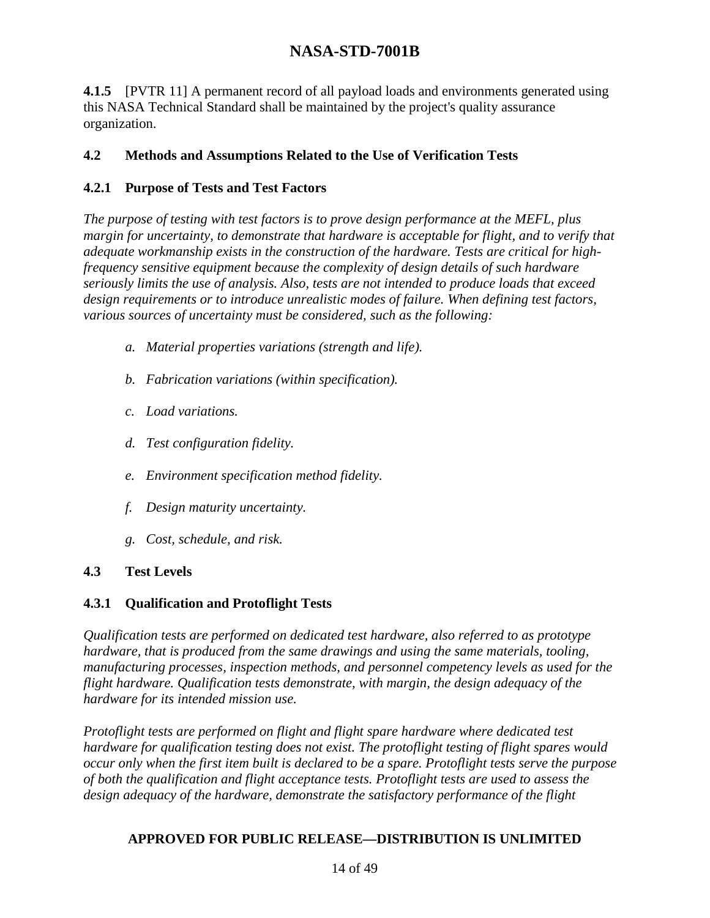**4.1.5** [PVTR 11] A permanent record of all payload loads and environments generated using this NASA Technical Standard shall be maintained by the project's quality assurance organization.

#### **4.2 Methods and Assumptions Related to the Use of Verification Tests**

#### **4.2.1 Purpose of Tests and Test Factors**

*The purpose of testing with test factors is to prove design performance at the MEFL, plus margin for uncertainty, to demonstrate that hardware is acceptable for flight, and to verify that adequate workmanship exists in the construction of the hardware. Tests are critical for highfrequency sensitive equipment because the complexity of design details of such hardware seriously limits the use of analysis. Also, tests are not intended to produce loads that exceed design requirements or to introduce unrealistic modes of failure. When defining test factors, various sources of uncertainty must be considered, such as the following:*

- *a. Material properties variations (strength and life).*
- *b. Fabrication variations (within specification).*
- *c. Load variations.*
- *d. Test configuration fidelity.*
- *e. Environment specification method fidelity.*
- *f. Design maturity uncertainty.*
- *g. Cost, schedule, and risk.*

#### **4.3 Test Levels**

#### **4.3.1 Qualification and Protoflight Tests**

*Qualification tests are performed on dedicated test hardware, also referred to as prototype hardware, that is produced from the same drawings and using the same materials, tooling, manufacturing processes, inspection methods, and personnel competency levels as used for the flight hardware. Qualification tests demonstrate, with margin, the design adequacy of the hardware for its intended mission use.*

*Protoflight tests are performed on flight and flight spare hardware where dedicated test hardware for qualification testing does not exist. The protoflight testing of flight spares would occur only when the first item built is declared to be a spare. Protoflight tests serve the purpose of both the qualification and flight acceptance tests. Protoflight tests are used to assess the design adequacy of the hardware, demonstrate the satisfactory performance of the flight*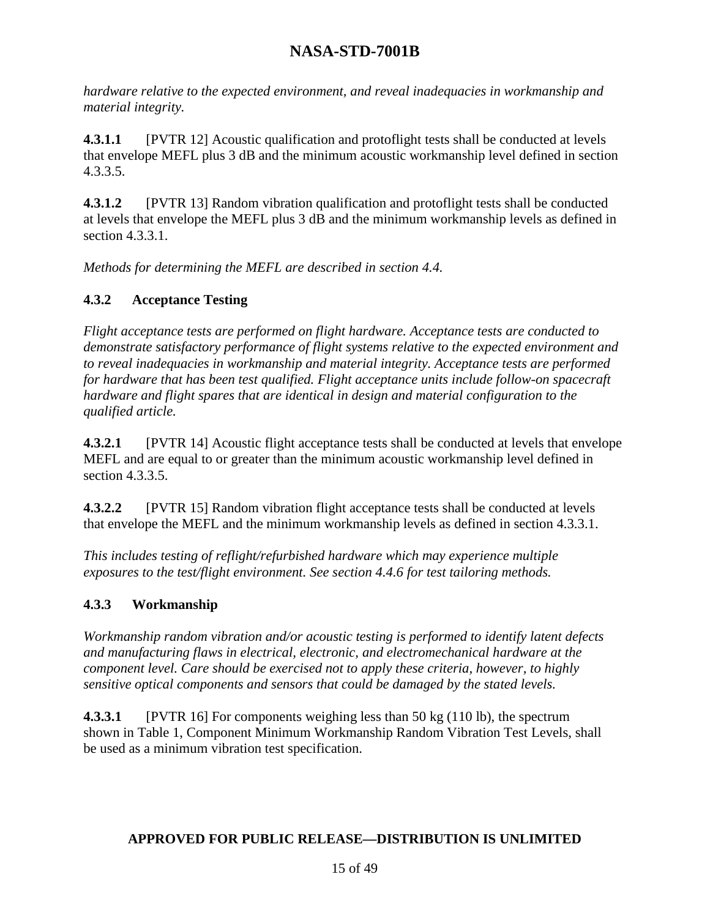*hardware relative to the expected environment, and reveal inadequacies in workmanship and material integrity.*

**4.3.1.1** [PVTR 12] Acoustic qualification and protoflight tests shall be conducted at levels that envelope MEFL plus 3 dB and the minimum acoustic workmanship level defined in section 4.3.3.5.

**4.3.1.2** [PVTR 13] Random vibration qualification and protoflight tests shall be conducted at levels that envelope the MEFL plus 3 dB and the minimum workmanship levels as defined in section 4.3.3.1.

*Methods for determining the MEFL are described in section 4.4.*

### **4.3.2 Acceptance Testing**

*Flight acceptance tests are performed on flight hardware. Acceptance tests are conducted to demonstrate satisfactory performance of flight systems relative to the expected environment and to reveal inadequacies in workmanship and material integrity. Acceptance tests are performed for hardware that has been test qualified. Flight acceptance units include follow-on spacecraft hardware and flight spares that are identical in design and material configuration to the qualified article.*

**4.3.2.1** [PVTR 14] Acoustic flight acceptance tests shall be conducted at levels that envelope MEFL and are equal to or greater than the minimum acoustic workmanship level defined in section 4.3.3.5.

**4.3.2.2** [PVTR 15] Random vibration flight acceptance tests shall be conducted at levels that envelope the MEFL and the minimum workmanship levels as defined in section 4.3.3.1.

*This includes testing of reflight/refurbished hardware which may experience multiple exposures to the test/flight environment. See section 4.4.6 for test tailoring methods.*

### **4.3.3 Workmanship**

*Workmanship random vibration and/or acoustic testing is performed to identify latent defects and manufacturing flaws in electrical, electronic, and electromechanical hardware at the component level. Care should be exercised not to apply these criteria, however, to highly sensitive optical components and sensors that could be damaged by the stated levels.*

**4.3.3.1** [PVTR 16] For components weighing less than 50 kg (110 lb), the spectrum shown in Table 1, Component Minimum Workmanship Random Vibration Test Levels, shall be used as a minimum vibration test specification.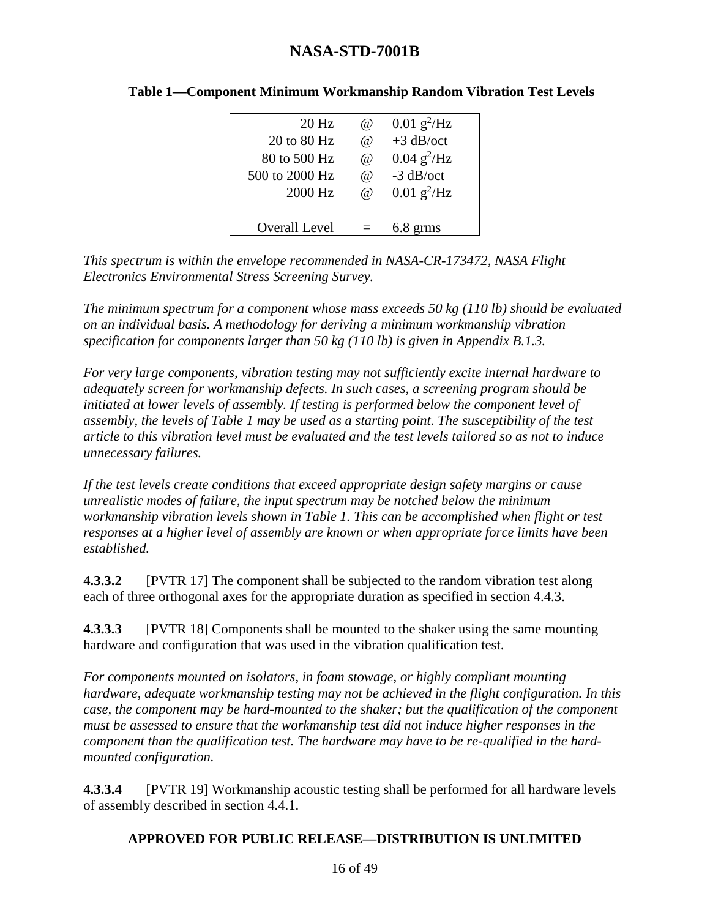| $20$ Hz        | @                    | $0.01$ g <sup>2</sup> /Hz |
|----------------|----------------------|---------------------------|
| 20 to 80 Hz    | $\omega$             | $+3$ dB/oct               |
| 80 to 500 Hz   | $^{\textregistered}$ | $0.04$ g <sup>2</sup> /Hz |
| 500 to 2000 Hz | $^{\textregistered}$ | $-3$ dB/oct               |
| 2000 Hz        | $\omega$             | $0.01$ g <sup>2</sup> /Hz |
|                |                      |                           |
| Overall Level  |                      | $6.8$ grms                |

#### **Table 1—Component Minimum Workmanship Random Vibration Test Levels**

*This spectrum is within the envelope recommended in NASA-CR-173472, NASA Flight Electronics Environmental Stress Screening Survey.*

*The minimum spectrum for a component whose mass exceeds 50 kg (110 lb) should be evaluated on an individual basis. A methodology for deriving a minimum workmanship vibration specification for components larger than 50 kg (110 lb) is given in Appendix B.1.3.*

*For very large components, vibration testing may not sufficiently excite internal hardware to adequately screen for workmanship defects. In such cases, a screening program should be initiated at lower levels of assembly. If testing is performed below the component level of assembly, the levels of Table 1 may be used as a starting point. The susceptibility of the test article to this vibration level must be evaluated and the test levels tailored so as not to induce unnecessary failures.*

*If the test levels create conditions that exceed appropriate design safety margins or cause unrealistic modes of failure, the input spectrum may be notched below the minimum workmanship vibration levels shown in Table 1. This can be accomplished when flight or test responses at a higher level of assembly are known or when appropriate force limits have been established.*

**4.3.3.2** [PVTR 17] The component shall be subjected to the random vibration test along each of three orthogonal axes for the appropriate duration as specified in section 4.4.3.

**4.3.3.3** [PVTR 18] Components shall be mounted to the shaker using the same mounting hardware and configuration that was used in the vibration qualification test.

*For components mounted on isolators, in foam stowage, or highly compliant mounting hardware, adequate workmanship testing may not be achieved in the flight configuration. In this case, the component may be hard-mounted to the shaker; but the qualification of the component must be assessed to ensure that the workmanship test did not induce higher responses in the component than the qualification test. The hardware may have to be re-qualified in the hardmounted configuration.*

**4.3.3.4** [PVTR 19] Workmanship acoustic testing shall be performed for all hardware levels of assembly described in section 4.4.1.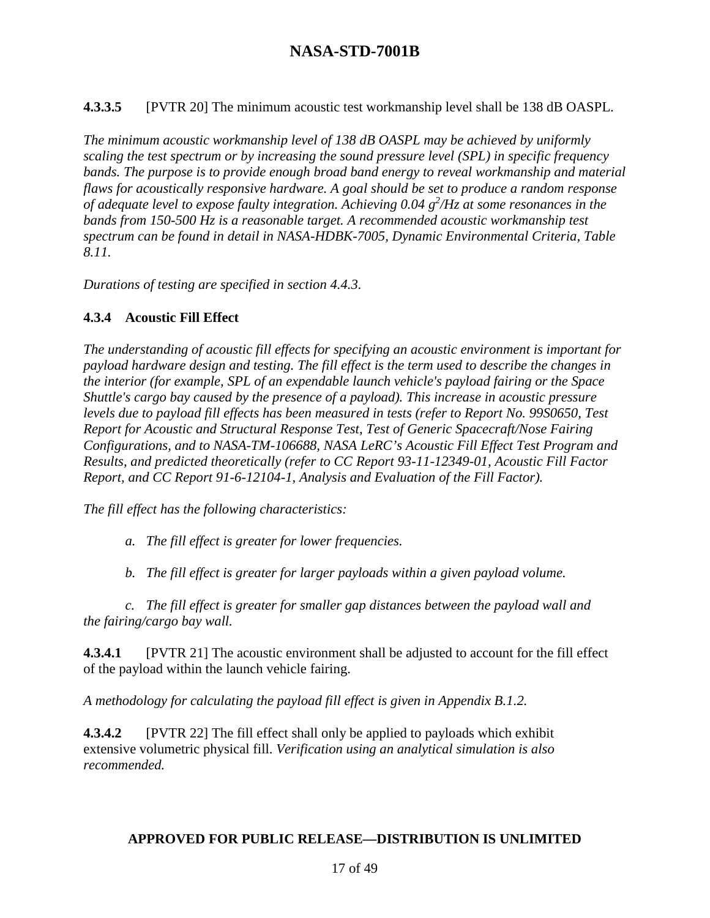**4.3.3.5** [PVTR 20] The minimum acoustic test workmanship level shall be 138 dB OASPL.

*The minimum acoustic workmanship level of 138 dB OASPL may be achieved by uniformly scaling the test spectrum or by increasing the sound pressure level (SPL) in specific frequency bands. The purpose is to provide enough broad band energy to reveal workmanship and material flaws for acoustically responsive hardware. A goal should be set to produce a random response of adequate level to expose faulty integration. Achieving 0.04 g<sup>2</sup>/Hz at some resonances in the bands from 150-500 Hz is a reasonable target. A recommended acoustic workmanship test spectrum can be found in detail in NASA-HDBK-7005, Dynamic Environmental Criteria, Table 8.11.*

*Durations of testing are specified in section 4.4.3.*

#### **4.3.4 Acoustic Fill Effect**

*The understanding of acoustic fill effects for specifying an acoustic environment is important for payload hardware design and testing. The fill effect is the term used to describe the changes in the interior (for example, SPL of an expendable launch vehicle's payload fairing or the Space Shuttle's cargo bay caused by the presence of a payload). This increase in acoustic pressure levels due to payload fill effects has been measured in tests (refer to Report No. 99S0650, Test Report for Acoustic and Structural Response Test, Test of Generic Spacecraft/Nose Fairing Configurations, and to NASA-TM-106688, NASA LeRC's Acoustic Fill Effect Test Program and Results, and predicted theoretically (refer to CC Report 93-11-12349-01, Acoustic Fill Factor Report, and CC Report 91-6-12104-1, Analysis and Evaluation of the Fill Factor).*

*The fill effect has the following characteristics:*

*a. The fill effect is greater for lower frequencies.*

*b. The fill effect is greater for larger payloads within a given payload volume.*

*c. The fill effect is greater for smaller gap distances between the payload wall and the fairing/cargo bay wall.*

**4.3.4.1** [PVTR 21] The acoustic environment shall be adjusted to account for the fill effect of the payload within the launch vehicle fairing.

*A methodology for calculating the payload fill effect is given in Appendix B.1.2.*

**4.3.4.2** [PVTR 22] The fill effect shall only be applied to payloads which exhibit extensive volumetric physical fill. *Verification using an analytical simulation is also recommended.*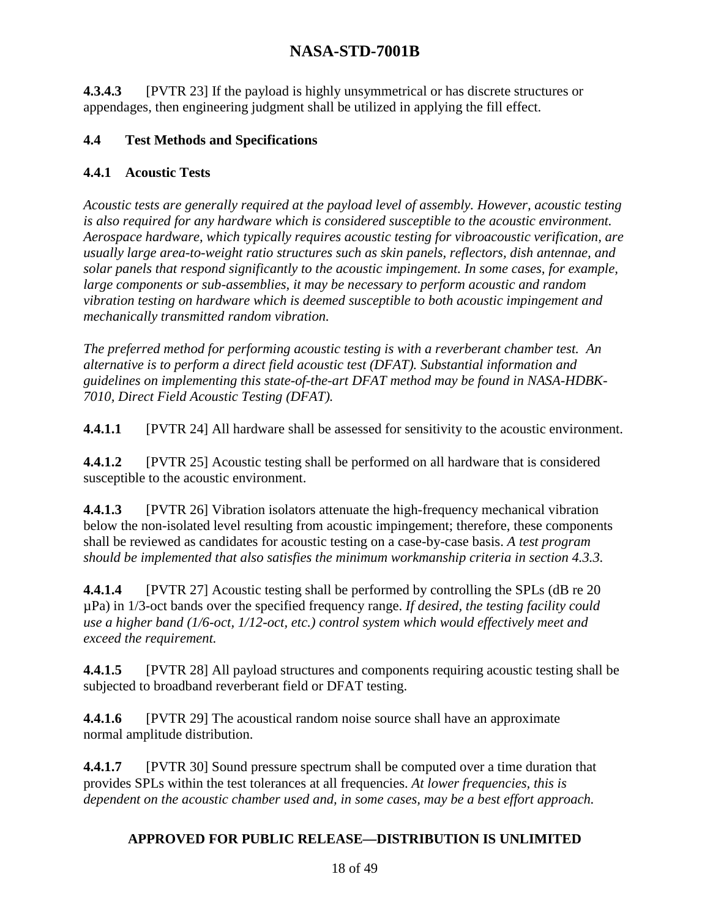**4.3.4.3** [PVTR 23] If the payload is highly unsymmetrical or has discrete structures or appendages, then engineering judgment shall be utilized in applying the fill effect.

#### **4.4 Test Methods and Specifications**

#### **4.4.1 Acoustic Tests**

*Acoustic tests are generally required at the payload level of assembly. However, acoustic testing is also required for any hardware which is considered susceptible to the acoustic environment. Aerospace hardware, which typically requires acoustic testing for vibroacoustic verification, are usually large area-to-weight ratio structures such as skin panels, reflectors, dish antennae, and solar panels that respond significantly to the acoustic impingement. In some cases, for example, large components or sub-assemblies, it may be necessary to perform acoustic and random vibration testing on hardware which is deemed susceptible to both acoustic impingement and mechanically transmitted random vibration.*

*The preferred method for performing acoustic testing is with a reverberant chamber test. An alternative is to perform a direct field acoustic test (DFAT). Substantial information and guidelines on implementing this state-of-the-art DFAT method may be found in NASA-HDBK-7010, Direct Field Acoustic Testing (DFAT).*

**4.4.1.1** [PVTR 24] All hardware shall be assessed for sensitivity to the acoustic environment.

**4.4.1.2** [PVTR 25] Acoustic testing shall be performed on all hardware that is considered susceptible to the acoustic environment.

**4.4.1.3** [PVTR 26] Vibration isolators attenuate the high-frequency mechanical vibration below the non-isolated level resulting from acoustic impingement; therefore, these components shall be reviewed as candidates for acoustic testing on a case-by-case basis. *A test program should be implemented that also satisfies the minimum workmanship criteria in section 4.3.3.*

**4.4.1.4** [PVTR 27] Acoustic testing shall be performed by controlling the SPLs (dB re 20) µPa) in 1/3-oct bands over the specified frequency range. *If desired, the testing facility could use a higher band (1/6-oct, 1/12-oct, etc.) control system which would effectively meet and exceed the requirement.*

**4.4.1.5** [PVTR 28] All payload structures and components requiring acoustic testing shall be subjected to broadband reverberant field or DFAT testing.

**4.4.1.6** [PVTR 29] The acoustical random noise source shall have an approximate normal amplitude distribution.

**4.4.1.7** [PVTR 30] Sound pressure spectrum shall be computed over a time duration that provides SPLs within the test tolerances at all frequencies. *At lower frequencies, this is dependent on the acoustic chamber used and, in some cases, may be a best effort approach.*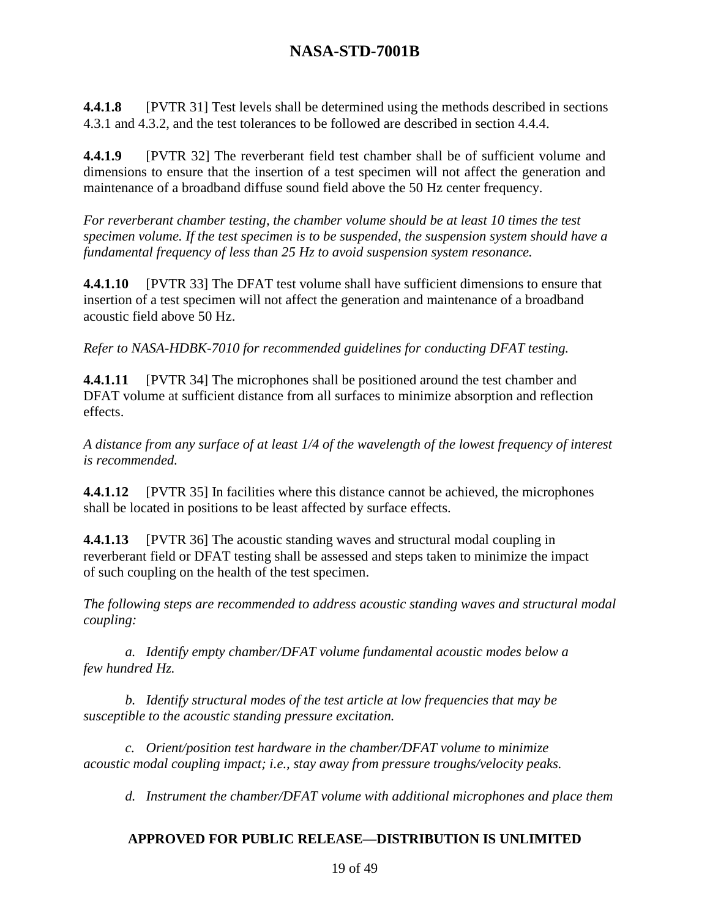**4.4.1.8** [PVTR 31] Test levels shall be determined using the methods described in sections 4.3.1 and 4.3.2, and the test tolerances to be followed are described in section 4.4.4.

**4.4.1.9** [PVTR 32] The reverberant field test chamber shall be of sufficient volume and dimensions to ensure that the insertion of a test specimen will not affect the generation and maintenance of a broadband diffuse sound field above the 50 Hz center frequency.

*For reverberant chamber testing, the chamber volume should be at least 10 times the test specimen volume. If the test specimen is to be suspended, the suspension system should have a fundamental frequency of less than 25 Hz to avoid suspension system resonance.*

**4.4.1.10** [PVTR 33] The DFAT test volume shall have sufficient dimensions to ensure that insertion of a test specimen will not affect the generation and maintenance of a broadband acoustic field above 50 Hz.

*Refer to NASA-HDBK-7010 for recommended guidelines for conducting DFAT testing.*

**4.4.1.11** [PVTR 34] The microphones shall be positioned around the test chamber and DFAT volume at sufficient distance from all surfaces to minimize absorption and reflection effects.

*A distance from any surface of at least 1/4 of the wavelength of the lowest frequency of interest is recommended.*

**4.4.1.12** [PVTR 35] In facilities where this distance cannot be achieved, the microphones shall be located in positions to be least affected by surface effects.

**4.4.1.13** [PVTR 36] The acoustic standing waves and structural modal coupling in reverberant field or DFAT testing shall be assessed and steps taken to minimize the impact of such coupling on the health of the test specimen.

*The following steps are recommended to address acoustic standing waves and structural modal coupling:*

*a. Identify empty chamber/DFAT volume fundamental acoustic modes below a few hundred Hz.*

*b. Identify structural modes of the test article at low frequencies that may be susceptible to the acoustic standing pressure excitation.*

*c. Orient/position test hardware in the chamber/DFAT volume to minimize acoustic modal coupling impact; i.e., stay away from pressure troughs/velocity peaks.*

*d. Instrument the chamber/DFAT volume with additional microphones and place them*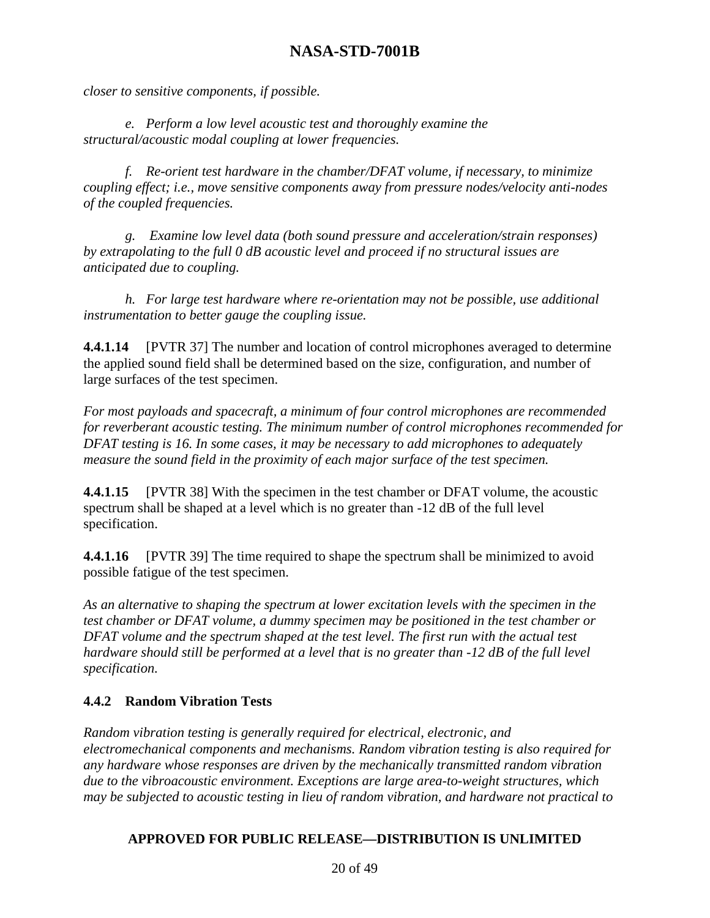*closer to sensitive components, if possible.*

*e. Perform a low level acoustic test and thoroughly examine the structural/acoustic modal coupling at lower frequencies.*

*f. Re-orient test hardware in the chamber/DFAT volume, if necessary, to minimize coupling effect; i.e., move sensitive components away from pressure nodes/velocity anti-nodes of the coupled frequencies.*

*g. Examine low level data (both sound pressure and acceleration/strain responses) by extrapolating to the full 0 dB acoustic level and proceed if no structural issues are anticipated due to coupling.*

*h. For large test hardware where re-orientation may not be possible, use additional instrumentation to better gauge the coupling issue.*

**4.4.1.14** [PVTR 37] The number and location of control microphones averaged to determine the applied sound field shall be determined based on the size, configuration, and number of large surfaces of the test specimen.

*For most payloads and spacecraft, a minimum of four control microphones are recommended for reverberant acoustic testing. The minimum number of control microphones recommended for DFAT testing is 16. In some cases, it may be necessary to add microphones to adequately measure the sound field in the proximity of each major surface of the test specimen.*

**4.4.1.15** [PVTR 38] With the specimen in the test chamber or DFAT volume, the acoustic spectrum shall be shaped at a level which is no greater than -12 dB of the full level specification.

**4.4.1.16** [PVTR 39] The time required to shape the spectrum shall be minimized to avoid possible fatigue of the test specimen.

*As an alternative to shaping the spectrum at lower excitation levels with the specimen in the test chamber or DFAT volume, a dummy specimen may be positioned in the test chamber or DFAT volume and the spectrum shaped at the test level. The first run with the actual test hardware should still be performed at a level that is no greater than -12 dB of the full level specification.*

#### **4.4.2 Random Vibration Tests**

*Random vibration testing is generally required for electrical, electronic, and electromechanical components and mechanisms. Random vibration testing is also required for any hardware whose responses are driven by the mechanically transmitted random vibration due to the vibroacoustic environment. Exceptions are large area-to-weight structures, which may be subjected to acoustic testing in lieu of random vibration, and hardware not practical to*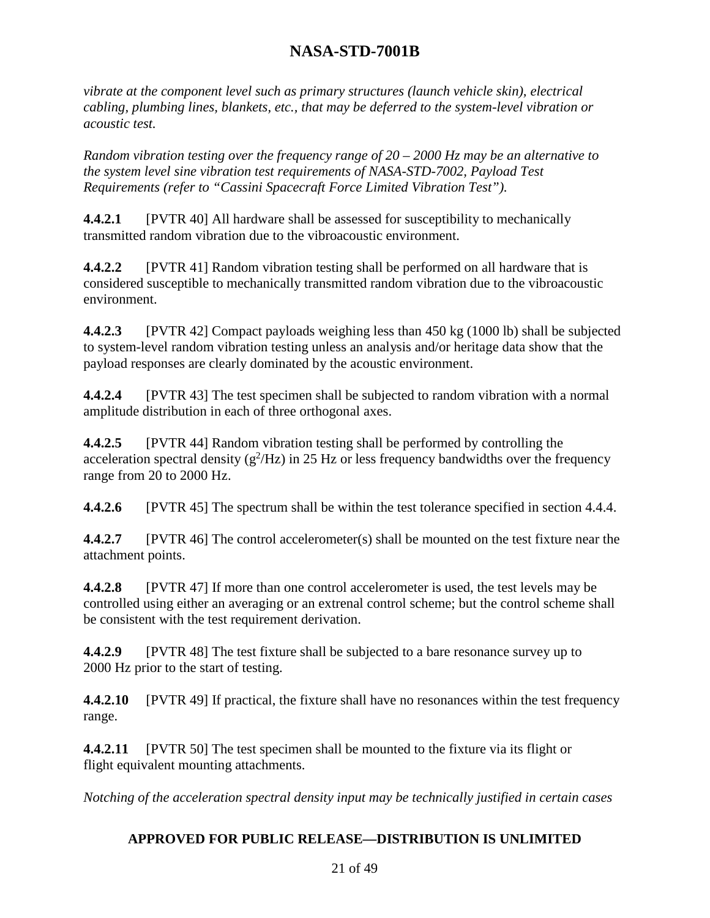*vibrate at the component level such as primary structures (launch vehicle skin), electrical cabling, plumbing lines, blankets, etc., that may be deferred to the system-level vibration or acoustic test.*

*Random vibration testing over the frequency range of 20 – 2000 Hz may be an alternative to the system level sine vibration test requirements of NASA-STD-7002, Payload Test Requirements (refer to "Cassini Spacecraft Force Limited Vibration Test").*

**4.4.2.1** [PVTR 40] All hardware shall be assessed for susceptibility to mechanically transmitted random vibration due to the vibroacoustic environment.

**4.4.2.2** [PVTR 41] Random vibration testing shall be performed on all hardware that is considered susceptible to mechanically transmitted random vibration due to the vibroacoustic environment.

**4.4.2.3** [PVTR 42] Compact payloads weighing less than 450 kg (1000 lb) shall be subjected to system-level random vibration testing unless an analysis and/or heritage data show that the payload responses are clearly dominated by the acoustic environment.

**4.4.2.4** [PVTR 43] The test specimen shall be subjected to random vibration with a normal amplitude distribution in each of three orthogonal axes.

**4.4.2.5** [PVTR 44] Random vibration testing shall be performed by controlling the acceleration spectral density  $(g^2/Hz)$  in 25 Hz or less frequency bandwidths over the frequency range from 20 to 2000 Hz.

**4.4.2.6** [PVTR 45] The spectrum shall be within the test tolerance specified in section 4.4.4.

**4.4.2.7** [PVTR 46] The control accelerometer(s) shall be mounted on the test fixture near the attachment points.

**4.4.2.8** [PVTR 47] If more than one control accelerometer is used, the test levels may be controlled using either an averaging or an extrenal control scheme; but the control scheme shall be consistent with the test requirement derivation.

**4.4.2.9** [PVTR 48] The test fixture shall be subjected to a bare resonance survey up to 2000 Hz prior to the start of testing.

**4.4.2.10** [PVTR 49] If practical, the fixture shall have no resonances within the test frequency range.

**4.4.2.11** [PVTR 50] The test specimen shall be mounted to the fixture via its flight or flight equivalent mounting attachments.

*Notching of the acceleration spectral density input may be technically justified in certain cases*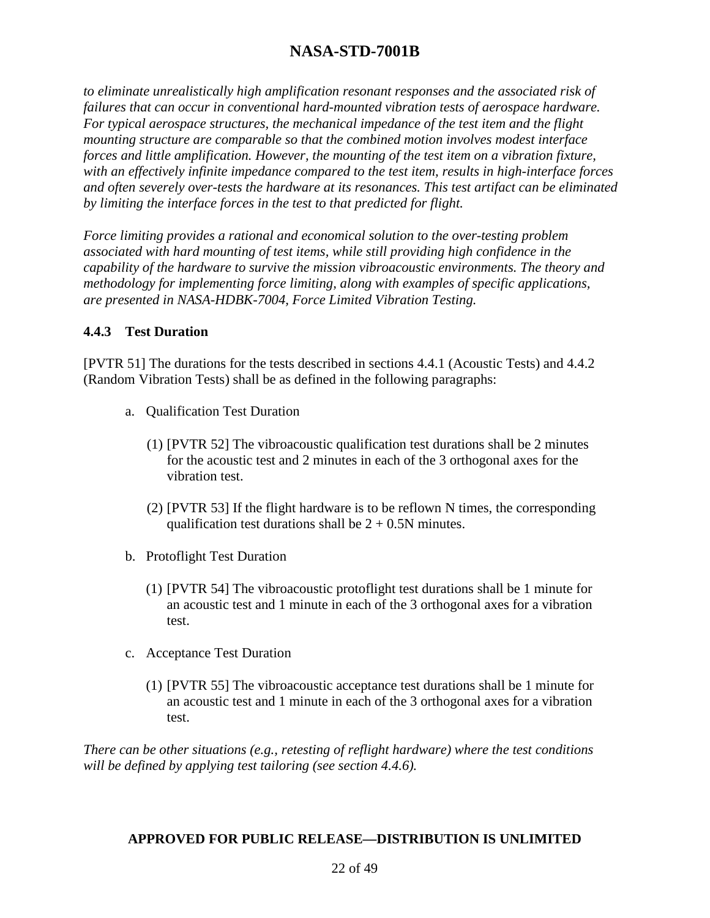*to eliminate unrealistically high amplification resonant responses and the associated risk of failures that can occur in conventional hard-mounted vibration tests of aerospace hardware. For typical aerospace structures, the mechanical impedance of the test item and the flight mounting structure are comparable so that the combined motion involves modest interface forces and little amplification. However, the mounting of the test item on a vibration fixture, with an effectively infinite impedance compared to the test item, results in high-interface forces and often severely over-tests the hardware at its resonances. This test artifact can be eliminated by limiting the interface forces in the test to that predicted for flight.*

*Force limiting provides a rational and economical solution to the over-testing problem associated with hard mounting of test items, while still providing high confidence in the capability of the hardware to survive the mission vibroacoustic environments. The theory and methodology for implementing force limiting, along with examples of specific applications, are presented in NASA-HDBK-7004, Force Limited Vibration Testing.*

#### **4.4.3 Test Duration**

[PVTR 51] The durations for the tests described in sections 4.4.1 (Acoustic Tests) and 4.4.2 (Random Vibration Tests) shall be as defined in the following paragraphs:

- a. Qualification Test Duration
	- (1) [PVTR 52] The vibroacoustic qualification test durations shall be 2 minutes for the acoustic test and 2 minutes in each of the 3 orthogonal axes for the vibration test.
	- (2) [PVTR 53] If the flight hardware is to be reflown N times, the corresponding qualification test durations shall be  $2 + 0.5N$  minutes.
- b. Protoflight Test Duration
	- (1) [PVTR 54] The vibroacoustic protoflight test durations shall be 1 minute for an acoustic test and 1 minute in each of the 3 orthogonal axes for a vibration test.
- c. Acceptance Test Duration
	- (1) [PVTR 55] The vibroacoustic acceptance test durations shall be 1 minute for an acoustic test and 1 minute in each of the 3 orthogonal axes for a vibration test.

*There can be other situations (e.g., retesting of reflight hardware) where the test conditions will be defined by applying test tailoring (see section 4.4.6).*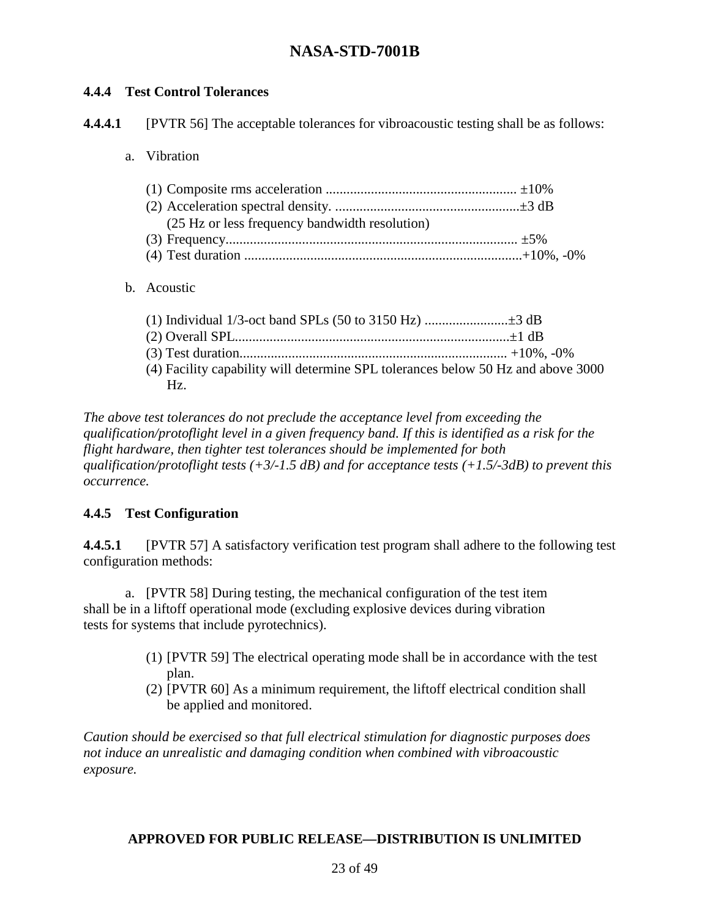#### **4.4.4 Test Control Tolerances**

**4.4.4.1** [PVTR 56] The acceptable tolerances for vibroacoustic testing shall be as follows:

a. Vibration

| (25 Hz or less frequency bandwidth resolution) |  |
|------------------------------------------------|--|
|                                                |  |
|                                                |  |

b. Acoustic

| (4) Facility capability will determine SPL tolerances below 50 Hz and above 3000 |  |
|----------------------------------------------------------------------------------|--|
| Hz                                                                               |  |

*The above test tolerances do not preclude the acceptance level from exceeding the qualification/protoflight level in a given frequency band. If this is identified as a risk for the flight hardware, then tighter test tolerances should be implemented for both qualification/protoflight tests (+3/-1.5 dB) and for acceptance tests (+1.5/-3dB) to prevent this occurrence.*

#### **4.4.5 Test Configuration**

**4.4.5.1** [PVTR 57] A satisfactory verification test program shall adhere to the following test configuration methods:

a. [PVTR 58] During testing, the mechanical configuration of the test item shall be in a liftoff operational mode (excluding explosive devices during vibration tests for systems that include pyrotechnics).

- (1) [PVTR 59] The electrical operating mode shall be in accordance with the test plan.
- (2) [PVTR 60] As a minimum requirement, the liftoff electrical condition shall be applied and monitored.

*Caution should be exercised so that full electrical stimulation for diagnostic purposes does not induce an unrealistic and damaging condition when combined with vibroacoustic exposure.*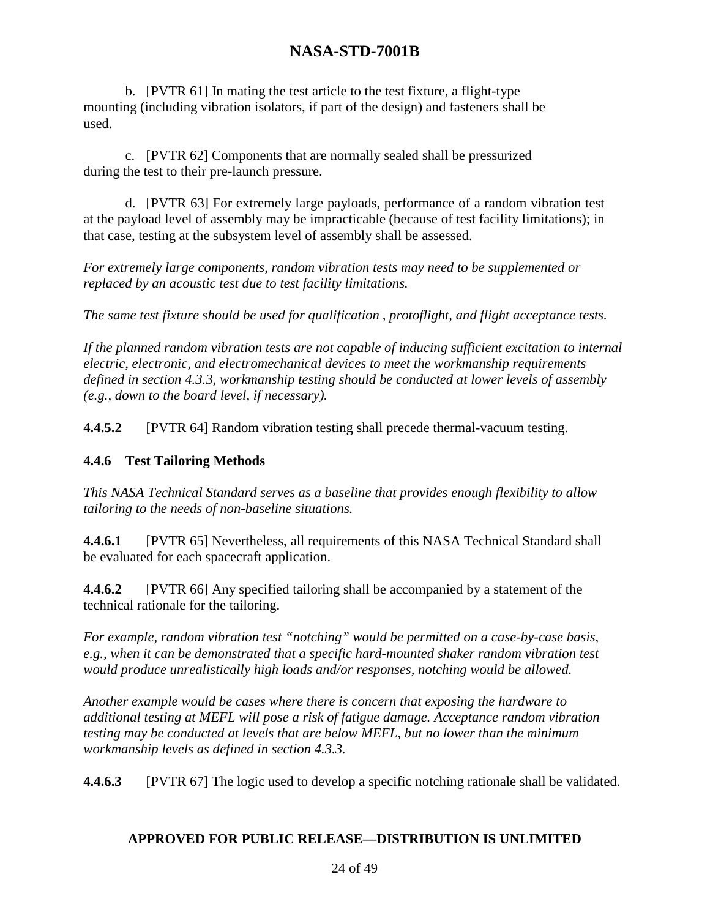b. [PVTR 61] In mating the test article to the test fixture, a flight-type mounting (including vibration isolators, if part of the design) and fasteners shall be used.

c. [PVTR 62] Components that are normally sealed shall be pressurized during the test to their pre-launch pressure.

d. [PVTR 63] For extremely large payloads, performance of a random vibration test at the payload level of assembly may be impracticable (because of test facility limitations); in that case, testing at the subsystem level of assembly shall be assessed.

*For extremely large components, random vibration tests may need to be supplemented or replaced by an acoustic test due to test facility limitations.*

*The same test fixture should be used for qualification , protoflight, and flight acceptance tests.*

*If the planned random vibration tests are not capable of inducing sufficient excitation to internal electric, electronic, and electromechanical devices to meet the workmanship requirements defined in section 4.3.3, workmanship testing should be conducted at lower levels of assembly (e.g., down to the board level, if necessary).*

**4.4.5.2** [PVTR 64] Random vibration testing shall precede thermal-vacuum testing.

#### **4.4.6 Test Tailoring Methods**

*This NASA Technical Standard serves as a baseline that provides enough flexibility to allow tailoring to the needs of non-baseline situations.*

**4.4.6.1** [PVTR 65] Nevertheless, all requirements of this NASA Technical Standard shall be evaluated for each spacecraft application.

**4.4.6.2** [PVTR 66] Any specified tailoring shall be accompanied by a statement of the technical rationale for the tailoring.

*For example, random vibration test "notching" would be permitted on a case-by-case basis, e.g., when it can be demonstrated that a specific hard-mounted shaker random vibration test would produce unrealistically high loads and/or responses, notching would be allowed.*

*Another example would be cases where there is concern that exposing the hardware to additional testing at MEFL will pose a risk of fatigue damage. Acceptance random vibration testing may be conducted at levels that are below MEFL, but no lower than the minimum workmanship levels as defined in section 4.3.3.* 

**4.4.6.3** [PVTR 67] The logic used to develop a specific notching rationale shall be validated.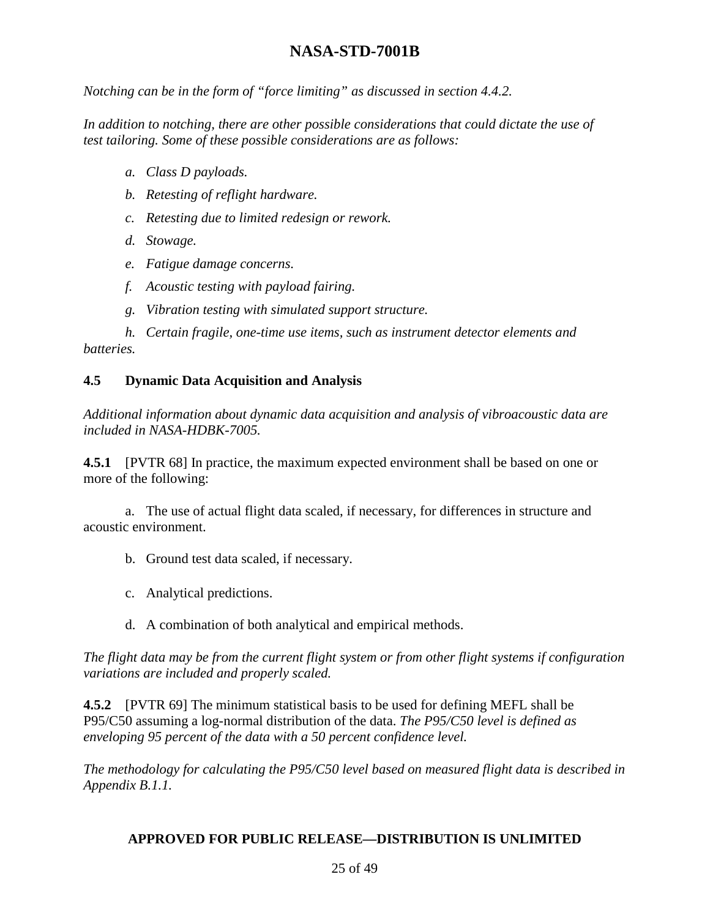*Notching can be in the form of "force limiting" as discussed in section 4.4.2.*

*In addition to notching, there are other possible considerations that could dictate the use of test tailoring. Some of these possible considerations are as follows:*

- *a. Class D payloads.*
- *b. Retesting of reflight hardware.*
- *c. Retesting due to limited redesign or rework.*
- *d. Stowage.*
- *e. Fatigue damage concerns.*
- *f. Acoustic testing with payload fairing.*
- *g. Vibration testing with simulated support structure.*

*h. Certain fragile, one-time use items, such as instrument detector elements and batteries.*

#### **4.5 Dynamic Data Acquisition and Analysis**

*Additional information about dynamic data acquisition and analysis of vibroacoustic data are included in NASA-HDBK-7005.*

**4.5.1** [PVTR 68] In practice, the maximum expected environment shall be based on one or more of the following:

a. The use of actual flight data scaled, if necessary, for differences in structure and acoustic environment.

- b. Ground test data scaled, if necessary.
- c. Analytical predictions.
- d. A combination of both analytical and empirical methods.

*The flight data may be from the current flight system or from other flight systems if configuration variations are included and properly scaled.*

**4.5.2** [PVTR 69] The minimum statistical basis to be used for defining MEFL shall be P95/C50 assuming a log-normal distribution of the data. *The P95/C50 level is defined as enveloping 95 percent of the data with a 50 percent confidence level.*

*The methodology for calculating the P95/C50 level based on measured flight data is described in Appendix B.1.1.*

#### **APPROVED FOR PUBLIC RELEASE—DISTRIBUTION IS UNLIMITED**

#### 25 of 49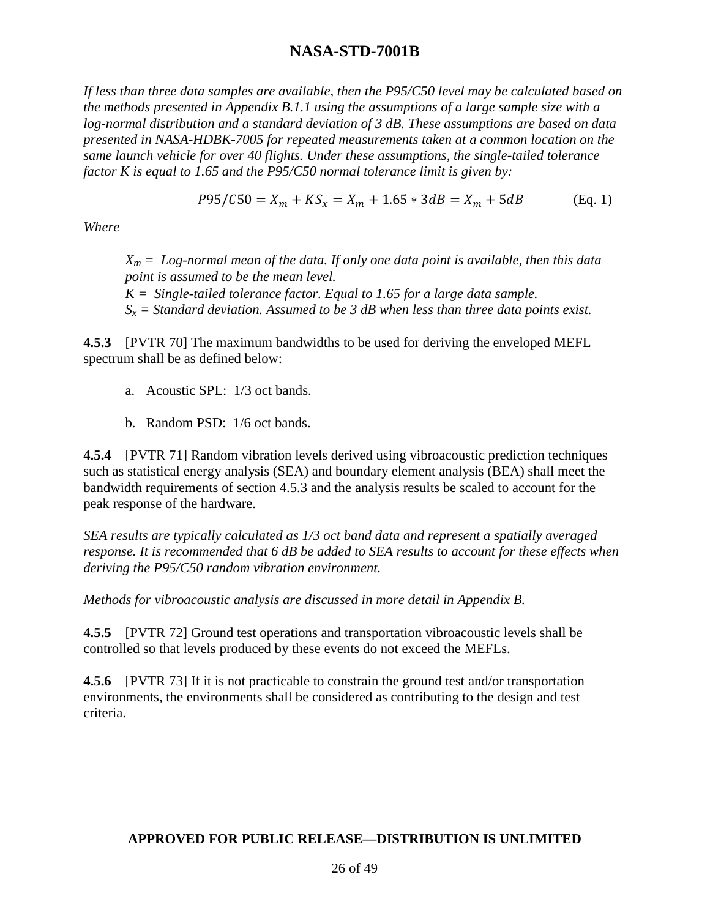*If less than three data samples are available, then the P95/C50 level may be calculated based on the methods presented in Appendix B.1.1 using the assumptions of a large sample size with a log-normal distribution and a standard deviation of 3 dB. These assumptions are based on data presented in NASA-HDBK-7005 for repeated measurements taken at a common location on the same launch vehicle for over 40 flights. Under these assumptions, the single-tailed tolerance factor K is equal to 1.65 and the P95/C50 normal tolerance limit is given by:*

$$
P95/C50 = X_m + KS_x = X_m + 1.65 * 3dB = X_m + 5dB \qquad (Eq. 1)
$$

*Where*

 $X_m = Log$ -normal mean of the data. If only one data point is available, then this data *point is assumed to be the mean level. K = Single-tailed tolerance factor. Equal to 1.65 for a large data sample. Sx = Standard deviation. Assumed to be 3 dB when less than three data points exist.*

**4.5.3** [PVTR 70] The maximum bandwidths to be used for deriving the enveloped MEFL spectrum shall be as defined below:

- a. Acoustic SPL: 1/3 oct bands.
- b. Random PSD: 1/6 oct bands.

**4.5.4** [PVTR 71] Random vibration levels derived using vibroacoustic prediction techniques such as statistical energy analysis (SEA) and boundary element analysis (BEA) shall meet the bandwidth requirements of section 4.5.3 and the analysis results be scaled to account for the peak response of the hardware.

*SEA results are typically calculated as 1/3 oct band data and represent a spatially averaged response. It is recommended that 6 dB be added to SEA results to account for these effects when deriving the P95/C50 random vibration environment.*

*Methods for vibroacoustic analysis are discussed in more detail in Appendix B.*

**4.5.5** [PVTR 72] Ground test operations and transportation vibroacoustic levels shall be controlled so that levels produced by these events do not exceed the MEFLs.

**4.5.6** [PVTR 73] If it is not practicable to constrain the ground test and/or transportation environments, the environments shall be considered as contributing to the design and test criteria.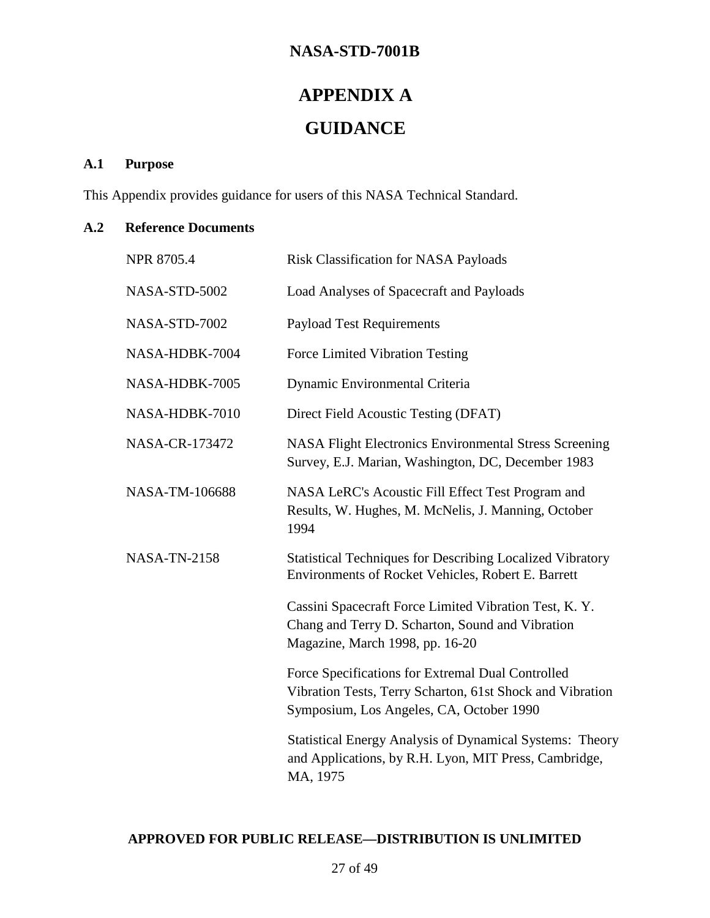# **APPENDIX A GUIDANCE**

### **A.1 Purpose**

This Appendix provides guidance for users of this NASA Technical Standard.

#### **A.2 Reference Documents**

| NPR 8705.4          | <b>Risk Classification for NASA Payloads</b>                                                                                                               |
|---------------------|------------------------------------------------------------------------------------------------------------------------------------------------------------|
| NASA-STD-5002       | Load Analyses of Spacecraft and Payloads                                                                                                                   |
| NASA-STD-7002       | <b>Payload Test Requirements</b>                                                                                                                           |
| NASA-HDBK-7004      | Force Limited Vibration Testing                                                                                                                            |
| NASA-HDBK-7005      | Dynamic Environmental Criteria                                                                                                                             |
| NASA-HDBK-7010      | Direct Field Acoustic Testing (DFAT)                                                                                                                       |
| NASA-CR-173472      | <b>NASA Flight Electronics Environmental Stress Screening</b><br>Survey, E.J. Marian, Washington, DC, December 1983                                        |
| NASA-TM-106688      | NASA LeRC's Acoustic Fill Effect Test Program and<br>Results, W. Hughes, M. McNelis, J. Manning, October<br>1994                                           |
| <b>NASA-TN-2158</b> | <b>Statistical Techniques for Describing Localized Vibratory</b><br>Environments of Rocket Vehicles, Robert E. Barrett                                     |
|                     | Cassini Spacecraft Force Limited Vibration Test, K.Y.<br>Chang and Terry D. Scharton, Sound and Vibration<br>Magazine, March 1998, pp. 16-20               |
|                     | Force Specifications for Extremal Dual Controlled<br>Vibration Tests, Terry Scharton, 61st Shock and Vibration<br>Symposium, Los Angeles, CA, October 1990 |
|                     | <b>Statistical Energy Analysis of Dynamical Systems: Theory</b><br>and Applications, by R.H. Lyon, MIT Press, Cambridge,<br>MA, 1975                       |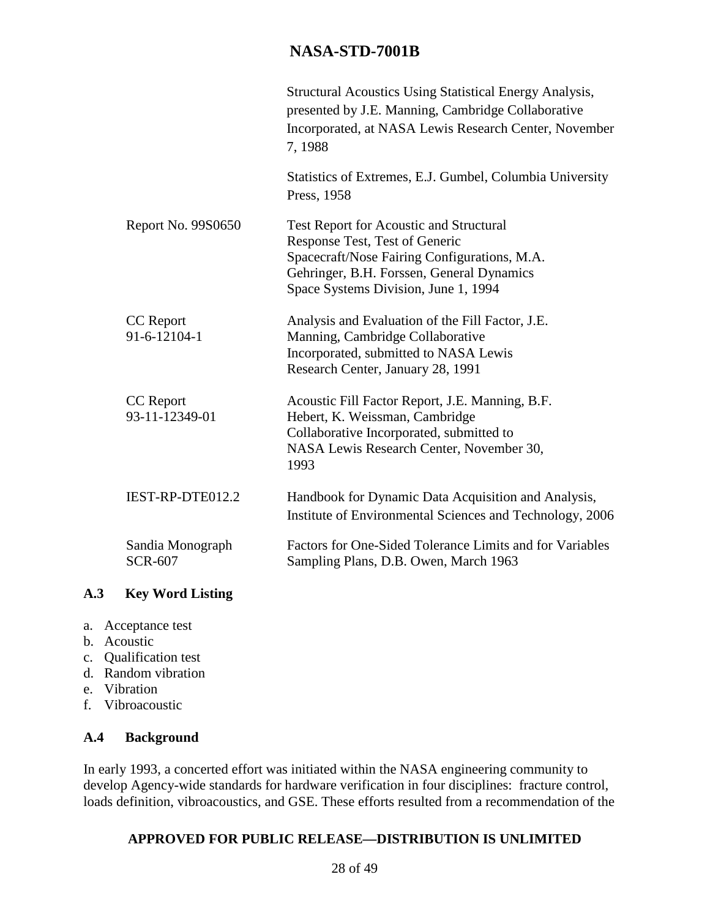|                                    | <b>Structural Acoustics Using Statistical Energy Analysis,</b><br>presented by J.E. Manning, Cambridge Collaborative<br>Incorporated, at NASA Lewis Research Center, November<br>7,1988                               |
|------------------------------------|-----------------------------------------------------------------------------------------------------------------------------------------------------------------------------------------------------------------------|
|                                    | Statistics of Extremes, E.J. Gumbel, Columbia University<br>Press, 1958                                                                                                                                               |
| Report No. 9980650                 | <b>Test Report for Acoustic and Structural</b><br>Response Test, Test of Generic<br>Spacecraft/Nose Fairing Configurations, M.A.<br>Gehringer, B.H. Forssen, General Dynamics<br>Space Systems Division, June 1, 1994 |
| <b>CC</b> Report<br>91-6-12104-1   | Analysis and Evaluation of the Fill Factor, J.E.<br>Manning, Cambridge Collaborative<br>Incorporated, submitted to NASA Lewis<br>Research Center, January 28, 1991                                                    |
| <b>CC</b> Report<br>93-11-12349-01 | Acoustic Fill Factor Report, J.E. Manning, B.F.<br>Hebert, K. Weissman, Cambridge<br>Collaborative Incorporated, submitted to<br>NASA Lewis Research Center, November 30,<br>1993                                     |
| IEST-RP-DTE012.2                   | Handbook for Dynamic Data Acquisition and Analysis,<br>Institute of Environmental Sciences and Technology, 2006                                                                                                       |
| Sandia Monograph<br><b>SCR-607</b> | Factors for One-Sided Tolerance Limits and for Variables<br>Sampling Plans, D.B. Owen, March 1963                                                                                                                     |

### **A.3 Key Word Listing**

- a. Acceptance test
- b. Acoustic
- c. Qualification test
- d. Random vibration
- e. Vibration
- f. Vibroacoustic

#### **A.4 Background**

In early 1993, a concerted effort was initiated within the NASA engineering community to develop Agency-wide standards for hardware verification in four disciplines: fracture control, loads definition, vibroacoustics, and GSE. These efforts resulted from a recommendation of the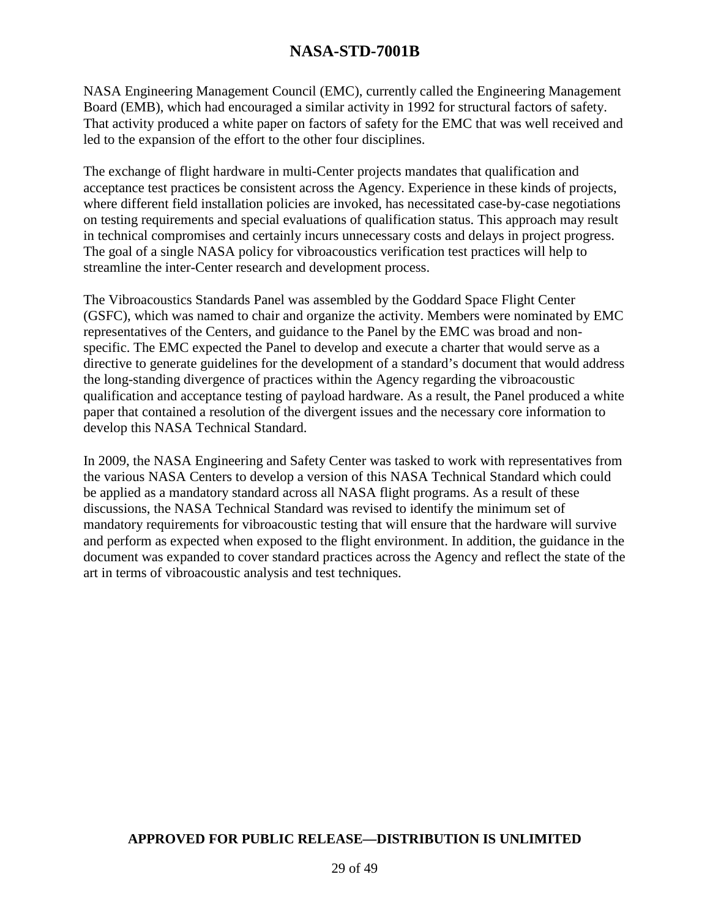NASA Engineering Management Council (EMC), currently called the Engineering Management Board (EMB), which had encouraged a similar activity in 1992 for structural factors of safety. That activity produced a white paper on factors of safety for the EMC that was well received and led to the expansion of the effort to the other four disciplines.

The exchange of flight hardware in multi-Center projects mandates that qualification and acceptance test practices be consistent across the Agency. Experience in these kinds of projects, where different field installation policies are invoked, has necessitated case-by-case negotiations on testing requirements and special evaluations of qualification status. This approach may result in technical compromises and certainly incurs unnecessary costs and delays in project progress. The goal of a single NASA policy for vibroacoustics verification test practices will help to streamline the inter-Center research and development process.

The Vibroacoustics Standards Panel was assembled by the Goddard Space Flight Center (GSFC), which was named to chair and organize the activity. Members were nominated by EMC representatives of the Centers, and guidance to the Panel by the EMC was broad and nonspecific. The EMC expected the Panel to develop and execute a charter that would serve as a directive to generate guidelines for the development of a standard's document that would address the long-standing divergence of practices within the Agency regarding the vibroacoustic qualification and acceptance testing of payload hardware. As a result, the Panel produced a white paper that contained a resolution of the divergent issues and the necessary core information to develop this NASA Technical Standard.

In 2009, the NASA Engineering and Safety Center was tasked to work with representatives from the various NASA Centers to develop a version of this NASA Technical Standard which could be applied as a mandatory standard across all NASA flight programs. As a result of these discussions, the NASA Technical Standard was revised to identify the minimum set of mandatory requirements for vibroacoustic testing that will ensure that the hardware will survive and perform as expected when exposed to the flight environment. In addition, the guidance in the document was expanded to cover standard practices across the Agency and reflect the state of the art in terms of vibroacoustic analysis and test techniques.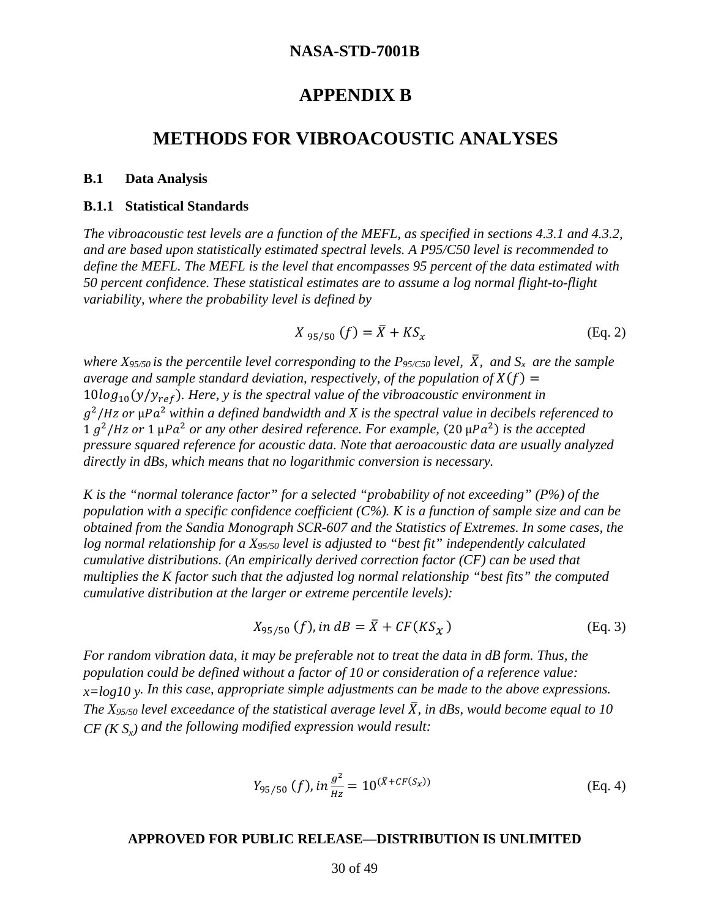### **APPENDIX B**

### **METHODS FOR VIBROACOUSTIC ANALYSES**

#### **B.1 Data Analysis**

#### **B.1.1 Statistical Standards**

*The vibroacoustic test levels are a function of the MEFL, as specified in sections 4.3.1 and 4.3.2, and are based upon statistically estimated spectral levels. A P95/C50 level is recommended to define the MEFL. The MEFL is the level that encompasses 95 percent of the data estimated with 50 percent confidence. These statistical estimates are to assume a log normal flight-to-flight variability, where the probability level is defined by*

$$
X_{95/50} (f) = \bar{X} + K S_x
$$
 (Eq. 2)

*where*  $X_{95/50}$  *is the percentile level corresponding to the P<sub>95/C50</sub> <i>level*,  $\bar{X}$ *, and*  $S_x$  *are the sample average and sample standard deviation, respectively, of the population of*  $X(f)$  =  $10\log_{10}(y/y_{ref})$ . Here, y is the spectral value of the vibroacoustic environment in  $g^2/Hz$  or  $\mu Pa^2$  within a defined bandwidth and X is the spectral value in decibels referenced to  $1 g<sup>2</sup>/Hz$  or  $1 \mu Pa<sup>2</sup>$  or any other desired reference. For example,  $(20 \mu Pa<sup>2</sup>)$  is the accepted *pressure squared reference for acoustic data. Note that aeroacoustic data are usually analyzed directly in dBs, which means that no logarithmic conversion is necessary.*

*K is the "normal tolerance factor" for a selected "probability of not exceeding" (P%) of the population with a specific confidence coefficient (C%). K is a function of sample size and can be obtained from the Sandia Monograph SCR-607 and the Statistics of Extremes. In some cases, the log normal relationship for a X95/50 level is adjusted to "best fit" independently calculated cumulative distributions. (An empirically derived correction factor (CF) can be used that multiplies the K factor such that the adjusted log normal relationship "best fits" the computed cumulative distribution at the larger or extreme percentile levels):*

$$
X_{95/50} (f), in \, dB = \bar{X} + CF(KS_{\chi}) \tag{Eq. 3}
$$

*For random vibration data, it may be preferable not to treat the data in dB form. Thus, the population could be defined without a factor of 10 or consideration of a reference value: x=log10 y. In this case, appropriate simple adjustments can be made to the above expressions. The X<sub>95/50</sub> level exceedance of the statistical average level*  $\bar{X}$ *, in dBs, would become equal to 10*  $CF$  ( $KS<sub>x</sub>$ ) and the following modified expression would result:

$$
Y_{95/50} (f), in \frac{g^2}{_{Hz}} = 10^{(\bar{X} + CF(S_{\chi}))}
$$
 (Eq. 4)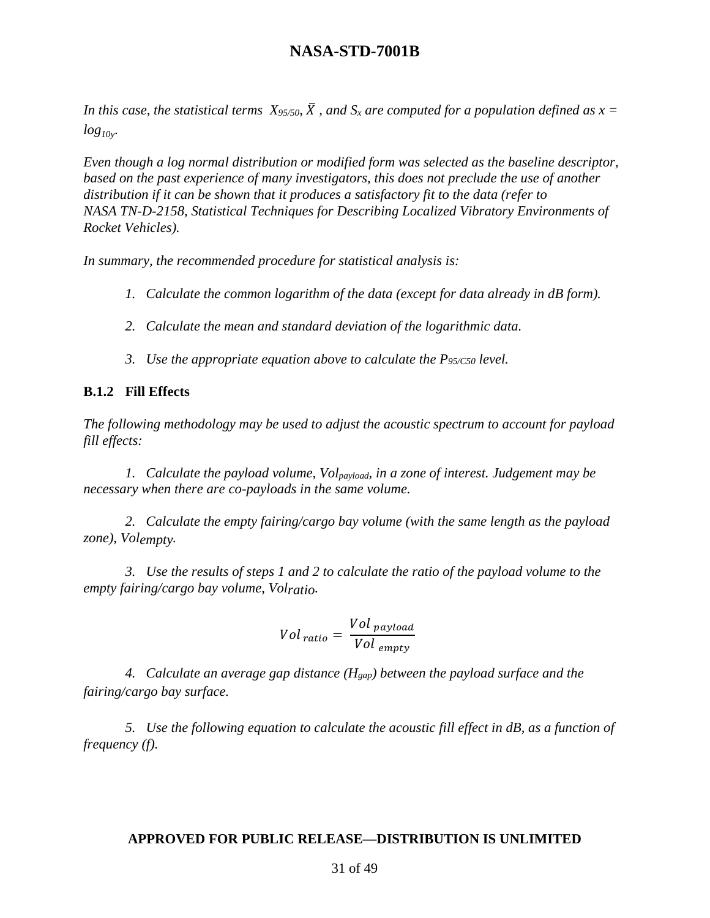*In this case, the statistical terms*  $X_{95/50}$ *,*  $\overline{X}$ *, and*  $S_x$  *are computed for a population defined as*  $x =$  $log_{10v}$ .

*Even though a log normal distribution or modified form was selected as the baseline descriptor, based on the past experience of many investigators, this does not preclude the use of another distribution if it can be shown that it produces a satisfactory fit to the data (refer to NASA TN-D-2158, Statistical Techniques for Describing Localized Vibratory Environments of Rocket Vehicles).*

*In summary, the recommended procedure for statistical analysis is:*

- *1. Calculate the common logarithm of the data (except for data already in dB form).*
- *2. Calculate the mean and standard deviation of the logarithmic data.*
- *3. Use the appropriate equation above to calculate the P95/C50 level.*

#### **B.1.2 Fill Effects**

*The following methodology may be used to adjust the acoustic spectrum to account for payload fill effects:*

*1. Calculate the payload volume, Volpayload, in a zone of interest. Judgement may be necessary when there are co-payloads in the same volume.*

*2. Calculate the empty fairing/cargo bay volume (with the same length as the payload zone), Volempty.*

*3. Use the results of steps 1 and 2 to calculate the ratio of the payload volume to the empty fairing/cargo bay volume, Volratio.*

$$
Vol_{ratio} = \frac{Vol_{payload}}{Vol_{empty}}
$$

*4. Calculate an average gap distance (Hgap) between the payload surface and the fairing/cargo bay surface.*

*5. Use the following equation to calculate the acoustic fill effect in dB, as a function of frequency (f).*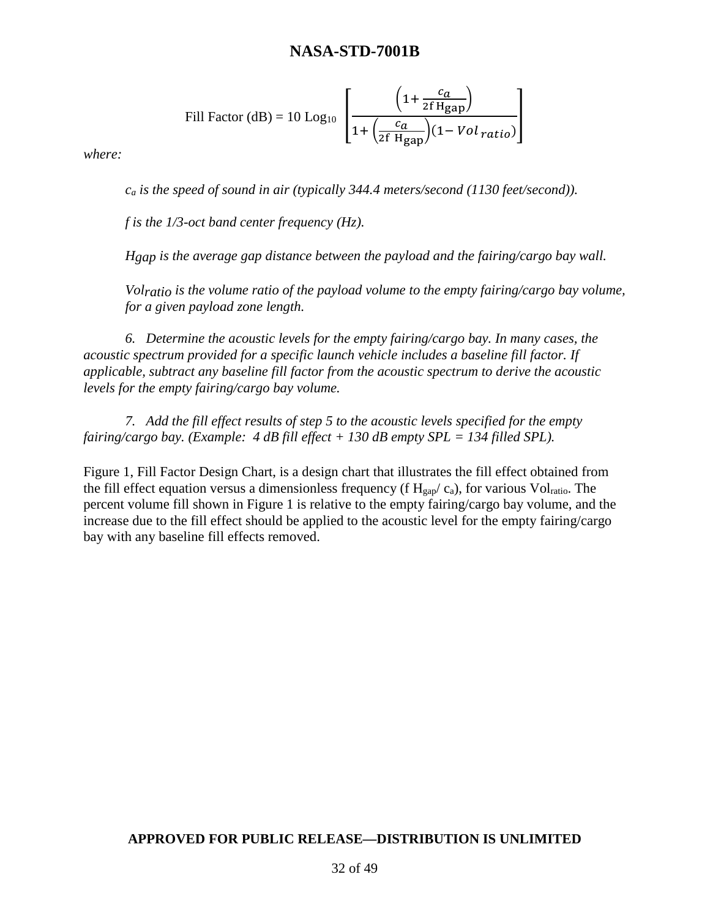Fill Factor (dB) = 10 Log<sub>10</sub> 
$$
\left[ \frac{\left(1 + \frac{c_a}{2f H_{\text{gap}}}\right)}{1 + \left(\frac{c_a}{2f H_{\text{gap}}}\right)(1 - Vol \, ratio)} \right]
$$

*where:*

*ca is the speed of sound in air (typically 344.4 meters/second (1130 feet/second)).* 

*f is the 1/3-oct band center frequency (Hz).*

*Hgap is the average gap distance between the payload and the fairing/cargo bay wall.*

*Volratio is the volume ratio of the payload volume to the empty fairing/cargo bay volume, for a given payload zone length.*

*6. Determine the acoustic levels for the empty fairing/cargo bay. In many cases, the acoustic spectrum provided for a specific launch vehicle includes a baseline fill factor. If applicable, subtract any baseline fill factor from the acoustic spectrum to derive the acoustic levels for the empty fairing/cargo bay volume.*

*7. Add the fill effect results of step 5 to the acoustic levels specified for the empty fairing/cargo bay. (Example: 4 dB fill effect + 130 dB empty SPL = 134 filled SPL).*

Figure 1, Fill Factor Design Chart, is a design chart that illustrates the fill effect obtained from the fill effect equation versus a dimensionless frequency (f  $H<sub>gap</sub>/ c<sub>a</sub>$ ), for various Vol<sub>ratio</sub>. The percent volume fill shown in Figure 1 is relative to the empty fairing/cargo bay volume, and the increase due to the fill effect should be applied to the acoustic level for the empty fairing/cargo bay with any baseline fill effects removed.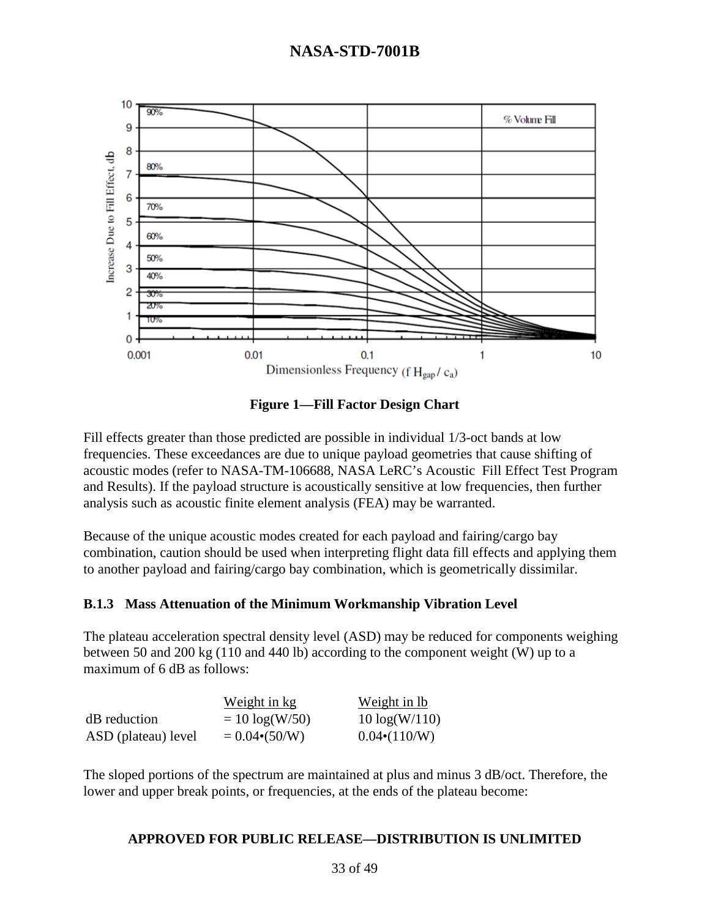

**Figure 1—Fill Factor Design Chart**

Fill effects greater than those predicted are possible in individual 1/3-oct bands at low frequencies. These exceedances are due to unique payload geometries that cause shifting of acoustic modes (refer to NASA-TM-106688, NASA LeRC's Acoustic Fill Effect Test Program and Results). If the payload structure is acoustically sensitive at low frequencies, then further analysis such as acoustic finite element analysis (FEA) may be warranted.

Because of the unique acoustic modes created for each payload and fairing/cargo bay combination, caution should be used when interpreting flight data fill effects and applying them to another payload and fairing/cargo bay combination, which is geometrically dissimilar.

#### **B.1.3 Mass Attenuation of the Minimum Workmanship Vibration Level**

The plateau acceleration spectral density level (ASD) may be reduced for components weighing between 50 and 200 kg (110 and 440 lb) according to the component weight (W) up to a maximum of 6 dB as follows:

|                     | Weight in kg          | Weight in lb         |
|---------------------|-----------------------|----------------------|
| dB reduction        | $= 10 \log(W/50)$     | $10 \log(W/110)$     |
| ASD (plateau) level | $= 0.04 \cdot (50/W)$ | $0.04 \cdot (110/W)$ |

The sloped portions of the spectrum are maintained at plus and minus 3 dB/oct. Therefore, the lower and upper break points, or frequencies, at the ends of the plateau become: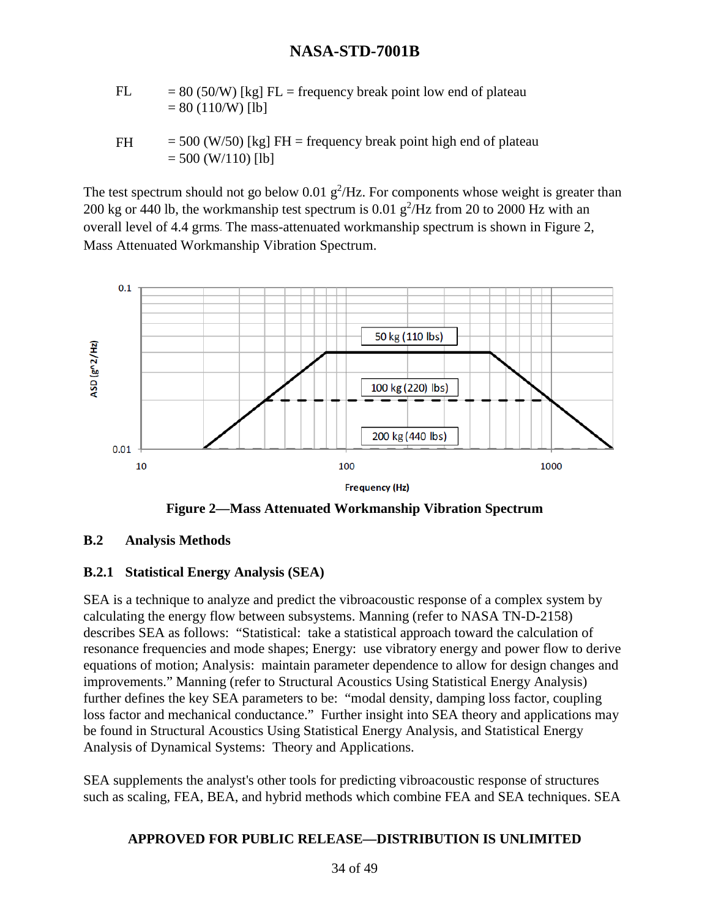- FL  $= 80 (50/W)$  [kg] FL = frequency break point low end of plateau  $= 80 (110/W)$  [lb]
- FH  $= 500$  (W/50) [kg] FH = frequency break point high end of plateau  $= 500$  (W/110) [lb]

The test spectrum should not go below 0.01  $g^2$ /Hz. For components whose weight is greater than 200 kg or 440 lb, the workmanship test spectrum is  $0.01$   $g^2$ /Hz from 20 to 2000 Hz with an overall level of 4.4 grms. The mass-attenuated workmanship spectrum is shown in Figure 2, Mass Attenuated Workmanship Vibration Spectrum.



**Figure 2—Mass Attenuated Workmanship Vibration Spectrum**

#### **B.2 Analysis Methods**

#### **B.2.1 Statistical Energy Analysis (SEA)**

SEA is a technique to analyze and predict the vibroacoustic response of a complex system by calculating the energy flow between subsystems. Manning (refer to NASA TN-D-2158) describes SEA as follows: "Statistical: take a statistical approach toward the calculation of resonance frequencies and mode shapes; Energy: use vibratory energy and power flow to derive equations of motion; Analysis: maintain parameter dependence to allow for design changes and improvements." Manning (refer to Structural Acoustics Using Statistical Energy Analysis) further defines the key SEA parameters to be: "modal density, damping loss factor, coupling loss factor and mechanical conductance." Further insight into SEA theory and applications may be found in Structural Acoustics Using Statistical Energy Analysis, and Statistical Energy Analysis of Dynamical Systems: Theory and Applications.

SEA supplements the analyst's other tools for predicting vibroacoustic response of structures such as scaling, FEA, BEA, and hybrid methods which combine FEA and SEA techniques. SEA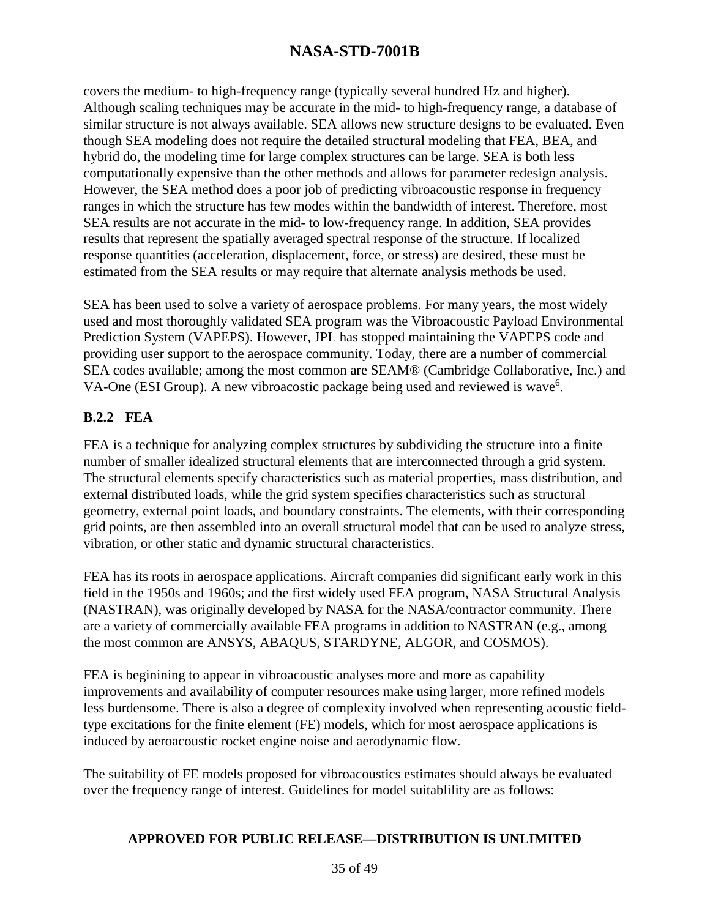covers the medium- to high-frequency range (typically several hundred Hz and higher). Although scaling techniques may be accurate in the mid- to high-frequency range, a database of similar structure is not always available. SEA allows new structure designs to be evaluated. Even though SEA modeling does not require the detailed structural modeling that FEA, BEA, and hybrid do, the modeling time for large complex structures can be large. SEA is both less computationally expensive than the other methods and allows for parameter redesign analysis. However, the SEA method does a poor job of predicting vibroacoustic response in frequency ranges in which the structure has few modes within the bandwidth of interest. Therefore, most SEA results are not accurate in the mid- to low-frequency range. In addition, SEA provides results that represent the spatially averaged spectral response of the structure. If localized response quantities (acceleration, displacement, force, or stress) are desired, these must be estimated from the SEA results or may require that alternate analysis methods be used.

SEA has been used to solve a variety of aerospace problems. For many years, the most widely used and most thoroughly validated SEA program was the Vibroacoustic Payload Environmental Prediction System (VAPEPS). However, JPL has stopped maintaining the VAPEPS code and providing user support to the aerospace community. Today, there are a number of commercial SEA codes available; among the most common are SEAM® (Cambridge Collaborative, Inc.) and VA-One (ESI Group). A new vibroacostic package being used and reviewed is wave<sup>6</sup>.

#### **B.2.2 FEA**

FEA is a technique for analyzing complex structures by subdividing the structure into a finite number of smaller idealized structural elements that are interconnected through a grid system. The structural elements specify characteristics such as material properties, mass distribution, and external distributed loads, while the grid system specifies characteristics such as structural geometry, external point loads, and boundary constraints. The elements, with their corresponding grid points, are then assembled into an overall structural model that can be used to analyze stress, vibration, or other static and dynamic structural characteristics.

FEA has its roots in aerospace applications. Aircraft companies did significant early work in this field in the 1950s and 1960s; and the first widely used FEA program, NASA Structural Analysis (NASTRAN), was originally developed by NASA for the NASA/contractor community. There are a variety of commercially available FEA programs in addition to NASTRAN (e.g., among the most common are ANSYS, ABAQUS, STARDYNE, ALGOR, and COSMOS).

FEA is beginining to appear in vibroacoustic analyses more and more as capability improvements and availability of computer resources make using larger, more refined models less burdensome. There is also a degree of complexity involved when representing acoustic fieldtype excitations for the finite element (FE) models, which for most aerospace applications is induced by aeroacoustic rocket engine noise and aerodynamic flow.

The suitability of FE models proposed for vibroacoustics estimates should always be evaluated over the frequency range of interest. Guidelines for model suitablility are as follows: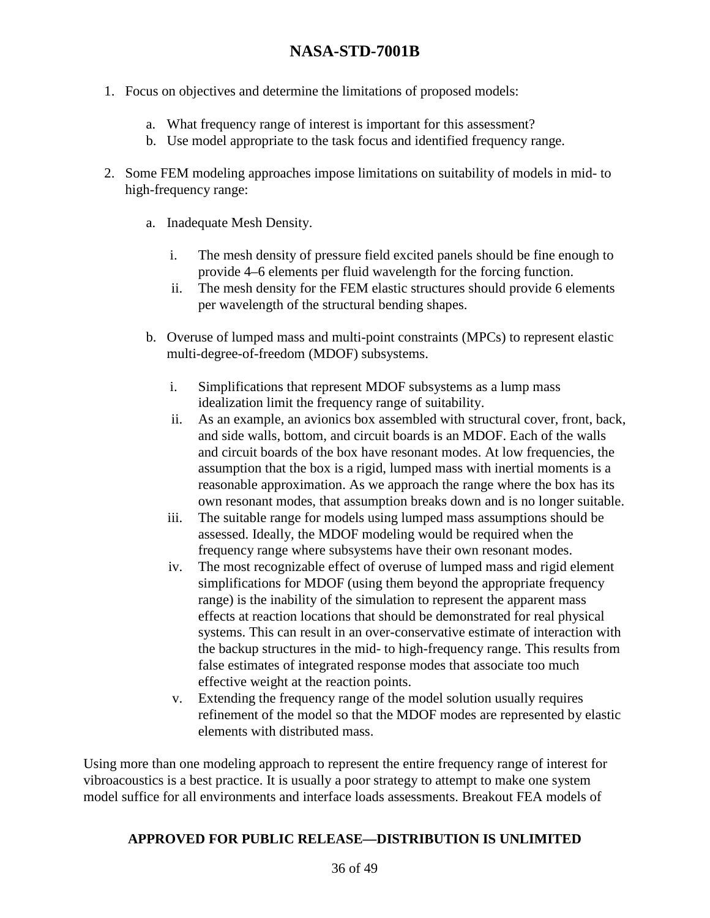- 1. Focus on objectives and determine the limitations of proposed models:
	- a. What frequency range of interest is important for this assessment?
	- b. Use model appropriate to the task focus and identified frequency range.
- 2. Some FEM modeling approaches impose limitations on suitability of models in mid- to high-frequency range:
	- a. Inadequate Mesh Density.
		- i. The mesh density of pressure field excited panels should be fine enough to provide 4–6 elements per fluid wavelength for the forcing function.
		- ii. The mesh density for the FEM elastic structures should provide 6 elements per wavelength of the structural bending shapes.
	- b. Overuse of lumped mass and multi-point constraints (MPCs) to represent elastic multi-degree-of-freedom (MDOF) subsystems.
		- i. Simplifications that represent MDOF subsystems as a lump mass idealization limit the frequency range of suitability.
		- ii. As an example, an avionics box assembled with structural cover, front, back, and side walls, bottom, and circuit boards is an MDOF. Each of the walls and circuit boards of the box have resonant modes. At low frequencies, the assumption that the box is a rigid, lumped mass with inertial moments is a reasonable approximation. As we approach the range where the box has its own resonant modes, that assumption breaks down and is no longer suitable.
		- iii. The suitable range for models using lumped mass assumptions should be assessed. Ideally, the MDOF modeling would be required when the frequency range where subsystems have their own resonant modes.
		- iv. The most recognizable effect of overuse of lumped mass and rigid element simplifications for MDOF (using them beyond the appropriate frequency range) is the inability of the simulation to represent the apparent mass effects at reaction locations that should be demonstrated for real physical systems. This can result in an over-conservative estimate of interaction with the backup structures in the mid- to high-frequency range. This results from false estimates of integrated response modes that associate too much effective weight at the reaction points.
		- v. Extending the frequency range of the model solution usually requires refinement of the model so that the MDOF modes are represented by elastic elements with distributed mass.

Using more than one modeling approach to represent the entire frequency range of interest for vibroacoustics is a best practice. It is usually a poor strategy to attempt to make one system model suffice for all environments and interface loads assessments. Breakout FEA models of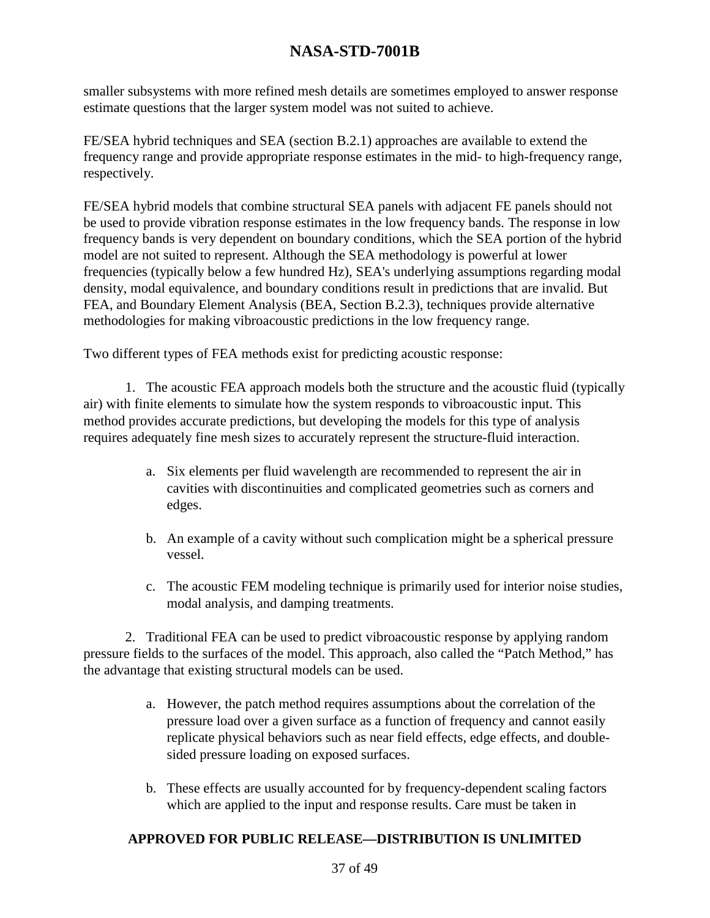smaller subsystems with more refined mesh details are sometimes employed to answer response estimate questions that the larger system model was not suited to achieve.

FE/SEA hybrid techniques and SEA (section B.2.1) approaches are available to extend the frequency range and provide appropriate response estimates in the mid- to high-frequency range, respectively.

FE/SEA hybrid models that combine structural SEA panels with adjacent FE panels should not be used to provide vibration response estimates in the low frequency bands. The response in low frequency bands is very dependent on boundary conditions, which the SEA portion of the hybrid model are not suited to represent. Although the SEA methodology is powerful at lower frequencies (typically below a few hundred Hz), SEA's underlying assumptions regarding modal density, modal equivalence, and boundary conditions result in predictions that are invalid. But FEA, and Boundary Element Analysis (BEA, Section B.2.3), techniques provide alternative methodologies for making vibroacoustic predictions in the low frequency range.

Two different types of FEA methods exist for predicting acoustic response:

1. The acoustic FEA approach models both the structure and the acoustic fluid (typically air) with finite elements to simulate how the system responds to vibroacoustic input. This method provides accurate predictions, but developing the models for this type of analysis requires adequately fine mesh sizes to accurately represent the structure-fluid interaction.

- a. Six elements per fluid wavelength are recommended to represent the air in cavities with discontinuities and complicated geometries such as corners and edges.
- b. An example of a cavity without such complication might be a spherical pressure vessel.
- c. The acoustic FEM modeling technique is primarily used for interior noise studies, modal analysis, and damping treatments.

2. Traditional FEA can be used to predict vibroacoustic response by applying random pressure fields to the surfaces of the model. This approach, also called the "Patch Method," has the advantage that existing structural models can be used.

- a. However, the patch method requires assumptions about the correlation of the pressure load over a given surface as a function of frequency and cannot easily replicate physical behaviors such as near field effects, edge effects, and doublesided pressure loading on exposed surfaces.
- b. These effects are usually accounted for by frequency-dependent scaling factors which are applied to the input and response results. Care must be taken in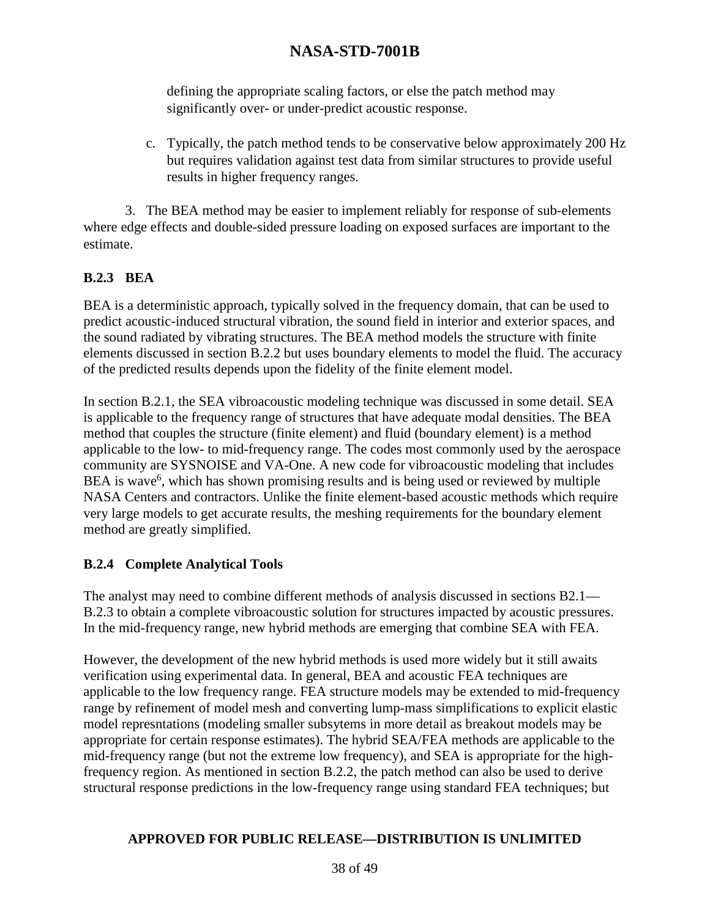defining the appropriate scaling factors, or else the patch method may significantly over- or under-predict acoustic response.

c. Typically, the patch method tends to be conservative below approximately 200 Hz but requires validation against test data from similar structures to provide useful results in higher frequency ranges.

3. The BEA method may be easier to implement reliably for response of sub-elements where edge effects and double-sided pressure loading on exposed surfaces are important to the estimate.

### **B.2.3 BEA**

BEA is a deterministic approach, typically solved in the frequency domain, that can be used to predict acoustic-induced structural vibration, the sound field in interior and exterior spaces, and the sound radiated by vibrating structures. The BEA method models the structure with finite elements discussed in section B.2.2 but uses boundary elements to model the fluid. The accuracy of the predicted results depends upon the fidelity of the finite element model.

In section B.2.1, the SEA vibroacoustic modeling technique was discussed in some detail. SEA is applicable to the frequency range of structures that have adequate modal densities. The BEA method that couples the structure (finite element) and fluid (boundary element) is a method applicable to the low- to mid-frequency range. The codes most commonly used by the aerospace community are SYSNOISE and VA-One. A new code for vibroacoustic modeling that includes BEA is wave<sup>6</sup>, which has shown promising results and is being used or reviewed by multiple NASA Centers and contractors. Unlike the finite element-based acoustic methods which require very large models to get accurate results, the meshing requirements for the boundary element method are greatly simplified.

#### **B.2.4 Complete Analytical Tools**

The analyst may need to combine different methods of analysis discussed in sections B2.1— B.2.3 to obtain a complete vibroacoustic solution for structures impacted by acoustic pressures. In the mid-frequency range, new hybrid methods are emerging that combine SEA with FEA.

However, the development of the new hybrid methods is used more widely but it still awaits verification using experimental data. In general, BEA and acoustic FEA techniques are applicable to the low frequency range. FEA structure models may be extended to mid-frequency range by refinement of model mesh and converting lump-mass simplifications to explicit elastic model represntations (modeling smaller subsytems in more detail as breakout models may be appropriate for certain response estimates). The hybrid SEA/FEA methods are applicable to the mid-frequency range (but not the extreme low frequency), and SEA is appropriate for the highfrequency region. As mentioned in section B.2.2, the patch method can also be used to derive structural response predictions in the low-frequency range using standard FEA techniques; but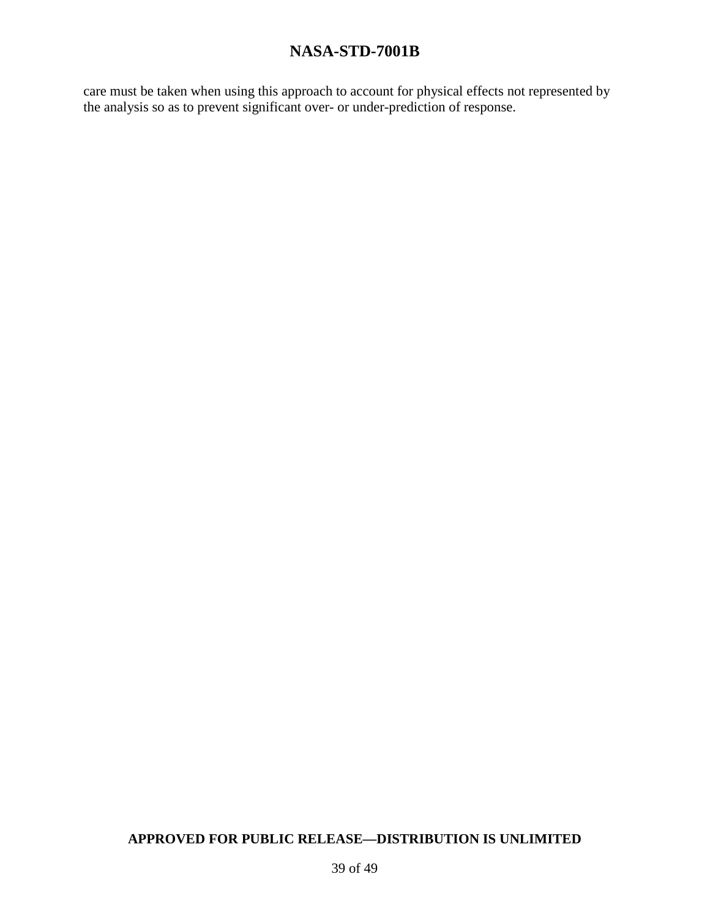care must be taken when using this approach to account for physical effects not represented by the analysis so as to prevent significant over- or under-prediction of response.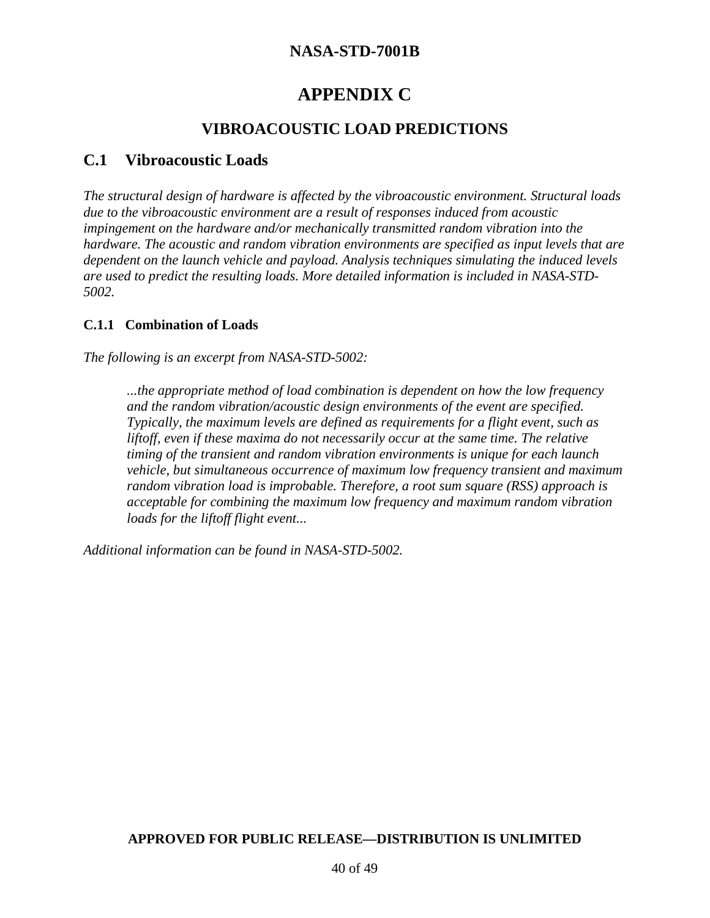# **APPENDIX C**

### **VIBROACOUSTIC LOAD PREDICTIONS**

### **C.1 Vibroacoustic Loads**

*The structural design of hardware is affected by the vibroacoustic environment. Structural loads due to the vibroacoustic environment are a result of responses induced from acoustic impingement on the hardware and/or mechanically transmitted random vibration into the hardware. The acoustic and random vibration environments are specified as input levels that are dependent on the launch vehicle and payload. Analysis techniques simulating the induced levels are used to predict the resulting loads. More detailed information is included in NASA-STD-5002.*

#### **C.1.1 Combination of Loads**

*The following is an excerpt from NASA-STD-5002:*

*...the appropriate method of load combination is dependent on how the low frequency and the random vibration/acoustic design environments of the event are specified. Typically, the maximum levels are defined as requirements for a flight event, such as liftoff, even if these maxima do not necessarily occur at the same time. The relative timing of the transient and random vibration environments is unique for each launch vehicle, but simultaneous occurrence of maximum low frequency transient and maximum random vibration load is improbable. Therefore, a root sum square (RSS) approach is acceptable for combining the maximum low frequency and maximum random vibration loads for the liftoff flight event...*

*Additional information can be found in NASA-STD-5002.*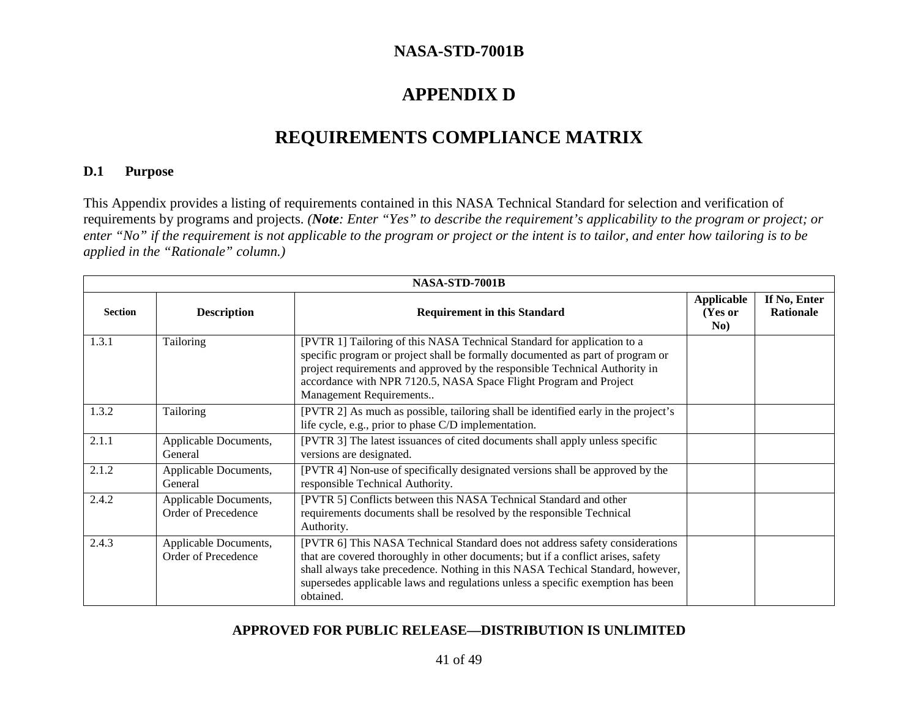# **APPENDIX D**

# **REQUIREMENTS COMPLIANCE MATRIX**

#### **D.1 Purpose**

This Appendix provides a listing of requirements contained in this NASA Technical Standard for selection and verification of requirements by programs and projects. *(Note: Enter "Yes" to describe the requirement's applicability to the program or project; or enter "No" if the requirement is not applicable to the program or project or the intent is to tailor, and enter how tailoring is to be applied in the "Rationale" column.)*

|                | NASA-STD-7001B                               |                                                                                                                                                                                                                                                                                                                                                    |                                     |                                  |
|----------------|----------------------------------------------|----------------------------------------------------------------------------------------------------------------------------------------------------------------------------------------------------------------------------------------------------------------------------------------------------------------------------------------------------|-------------------------------------|----------------------------------|
| <b>Section</b> | <b>Description</b>                           | <b>Requirement in this Standard</b>                                                                                                                                                                                                                                                                                                                | <b>Applicable</b><br>(Yes or<br>No) | If No, Enter<br><b>Rationale</b> |
| 1.3.1          | Tailoring                                    | [PVTR 1] Tailoring of this NASA Technical Standard for application to a<br>specific program or project shall be formally documented as part of program or<br>project requirements and approved by the responsible Technical Authority in<br>accordance with NPR 7120.5, NASA Space Flight Program and Project<br>Management Requirements           |                                     |                                  |
| 1.3.2          | Tailoring                                    | [PVTR 2] As much as possible, tailoring shall be identified early in the project's<br>life cycle, e.g., prior to phase C/D implementation.                                                                                                                                                                                                         |                                     |                                  |
| 2.1.1          | Applicable Documents,<br>General             | [PVTR 3] The latest issuances of cited documents shall apply unless specific<br>versions are designated.                                                                                                                                                                                                                                           |                                     |                                  |
| 2.1.2          | Applicable Documents,<br>General             | [PVTR 4] Non-use of specifically designated versions shall be approved by the<br>responsible Technical Authority.                                                                                                                                                                                                                                  |                                     |                                  |
| 2.4.2          | Applicable Documents,<br>Order of Precedence | [PVTR 5] Conflicts between this NASA Technical Standard and other<br>requirements documents shall be resolved by the responsible Technical<br>Authority.                                                                                                                                                                                           |                                     |                                  |
| 2.4.3          | Applicable Documents,<br>Order of Precedence | [PVTR 6] This NASA Technical Standard does not address safety considerations<br>that are covered thoroughly in other documents; but if a conflict arises, safety<br>shall always take precedence. Nothing in this NASA Techical Standard, however,<br>supersedes applicable laws and regulations unless a specific exemption has been<br>obtained. |                                     |                                  |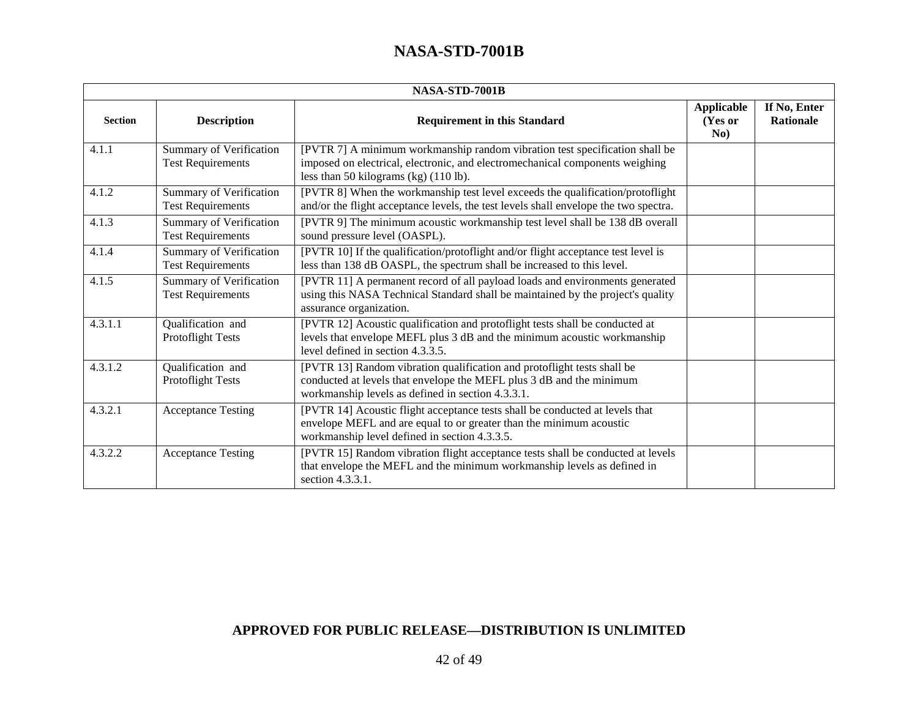|                | NASA-STD-7001B                                             |                                                                                                                                                                                                         |                              |                           |  |
|----------------|------------------------------------------------------------|---------------------------------------------------------------------------------------------------------------------------------------------------------------------------------------------------------|------------------------------|---------------------------|--|
| <b>Section</b> | <b>Description</b>                                         | <b>Requirement in this Standard</b>                                                                                                                                                                     | Applicable<br>(Yes or<br>No) | If No, Enter<br>Rationale |  |
| 4.1.1          | <b>Summary of Verification</b><br><b>Test Requirements</b> | [PVTR 7] A minimum workmanship random vibration test specification shall be<br>imposed on electrical, electronic, and electromechanical components weighing<br>less than 50 kilograms (kg) $(110 lb)$ . |                              |                           |  |
| 4.1.2          | <b>Summary of Verification</b><br><b>Test Requirements</b> | [PVTR 8] When the workmanship test level exceeds the qualification/protoflight<br>and/or the flight acceptance levels, the test levels shall envelope the two spectra.                                  |                              |                           |  |
| 4.1.3          | <b>Summary of Verification</b><br><b>Test Requirements</b> | [PVTR 9] The minimum acoustic workmanship test level shall be 138 dB overall<br>sound pressure level (OASPL).                                                                                           |                              |                           |  |
| 4.1.4          | <b>Summary of Verification</b><br><b>Test Requirements</b> | [PVTR 10] If the qualification/protoflight and/or flight acceptance test level is<br>less than 138 dB OASPL, the spectrum shall be increased to this level.                                             |                              |                           |  |
| 4.1.5          | <b>Summary of Verification</b><br><b>Test Requirements</b> | [PVTR 11] A permanent record of all payload loads and environments generated<br>using this NASA Technical Standard shall be maintained by the project's quality<br>assurance organization.              |                              |                           |  |
| 4.3.1.1        | Qualification and<br><b>Protoflight Tests</b>              | [PVTR 12] Acoustic qualification and protoflight tests shall be conducted at<br>levels that envelope MEFL plus 3 dB and the minimum acoustic workmanship<br>level defined in section 4.3.3.5.           |                              |                           |  |
| 4.3.1.2        | Qualification and<br><b>Protoflight Tests</b>              | [PVTR 13] Random vibration qualification and protoflight tests shall be<br>conducted at levels that envelope the MEFL plus 3 dB and the minimum<br>workmanship levels as defined in section 4.3.3.1.    |                              |                           |  |
| 4.3.2.1        | <b>Acceptance Testing</b>                                  | [PVTR 14] Acoustic flight acceptance tests shall be conducted at levels that<br>envelope MEFL and are equal to or greater than the minimum acoustic<br>workmanship level defined in section 4.3.3.5.    |                              |                           |  |
| 4.3.2.2        | <b>Acceptance Testing</b>                                  | [PVTR 15] Random vibration flight acceptance tests shall be conducted at levels<br>that envelope the MEFL and the minimum workmanship levels as defined in<br>section 4.3.3.1.                          |                              |                           |  |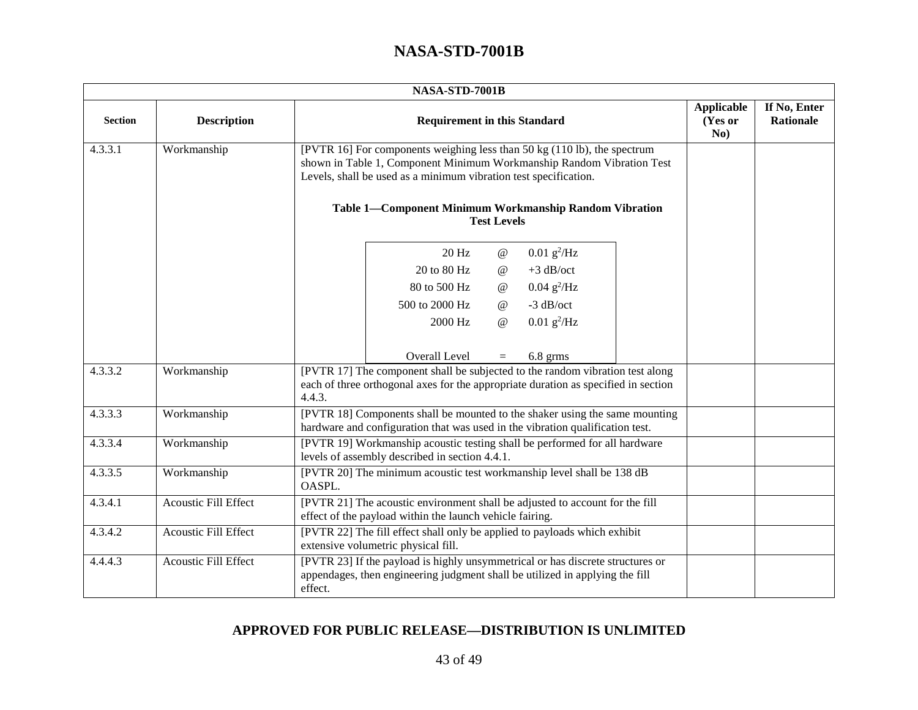|                | NASA-STD-7001B       |                                                                                                                                                                                                                       |                                     |                                  |  |  |
|----------------|----------------------|-----------------------------------------------------------------------------------------------------------------------------------------------------------------------------------------------------------------------|-------------------------------------|----------------------------------|--|--|
| <b>Section</b> | <b>Description</b>   | <b>Requirement in this Standard</b>                                                                                                                                                                                   | <b>Applicable</b><br>(Yes or<br>No) | If No, Enter<br><b>Rationale</b> |  |  |
| 4.3.3.1        | Workmanship          | [PVTR 16] For components weighing less than 50 kg (110 lb), the spectrum<br>shown in Table 1, Component Minimum Workmanship Random Vibration Test<br>Levels, shall be used as a minimum vibration test specification. |                                     |                                  |  |  |
|                |                      | Table 1-Component Minimum Workmanship Random Vibration<br><b>Test Levels</b>                                                                                                                                          |                                     |                                  |  |  |
|                |                      | $0.01 \text{ g}^2/\text{Hz}$<br>20 Hz<br>$^\text{\textregistered}$                                                                                                                                                    |                                     |                                  |  |  |
|                |                      | $+3$ dB/oct<br>20 to 80 Hz<br>$^{\,a}$                                                                                                                                                                                |                                     |                                  |  |  |
|                |                      | $0.04 \text{ g}^2/\text{Hz}$<br>80 to 500 Hz<br>$^\text{\textregistered}$                                                                                                                                             |                                     |                                  |  |  |
|                |                      | $-3$ dB/oct<br>500 to 2000 Hz<br>$^\text{\textregistered}$                                                                                                                                                            |                                     |                                  |  |  |
|                |                      | $0.01$ g <sup>2</sup> /Hz<br>2000 Hz<br>@                                                                                                                                                                             |                                     |                                  |  |  |
|                |                      | Overall Level<br>6.8 grms<br>$=$                                                                                                                                                                                      |                                     |                                  |  |  |
| 4.3.3.2        | Workmanship          | [PVTR 17] The component shall be subjected to the random vibration test along<br>each of three orthogonal axes for the appropriate duration as specified in section<br>4.4.3.                                         |                                     |                                  |  |  |
| 4.3.3.3        | Workmanship          | [PVTR 18] Components shall be mounted to the shaker using the same mounting<br>hardware and configuration that was used in the vibration qualification test.                                                          |                                     |                                  |  |  |
| 4.3.3.4        | Workmanship          | [PVTR 19] Workmanship acoustic testing shall be performed for all hardware<br>levels of assembly described in section 4.4.1.                                                                                          |                                     |                                  |  |  |
| 4.3.3.5        | Workmanship          | [PVTR 20] The minimum acoustic test workmanship level shall be 138 dB<br>OASPL.                                                                                                                                       |                                     |                                  |  |  |
| 4.3.4.1        | Acoustic Fill Effect | [PVTR 21] The acoustic environment shall be adjusted to account for the fill<br>effect of the payload within the launch vehicle fairing.                                                                              |                                     |                                  |  |  |
| 4.3.4.2        | Acoustic Fill Effect | [PVTR 22] The fill effect shall only be applied to payloads which exhibit<br>extensive volumetric physical fill.                                                                                                      |                                     |                                  |  |  |
| 4.4.4.3        | Acoustic Fill Effect | [PVTR 23] If the payload is highly unsymmetrical or has discrete structures or<br>appendages, then engineering judgment shall be utilized in applying the fill<br>effect.                                             |                                     |                                  |  |  |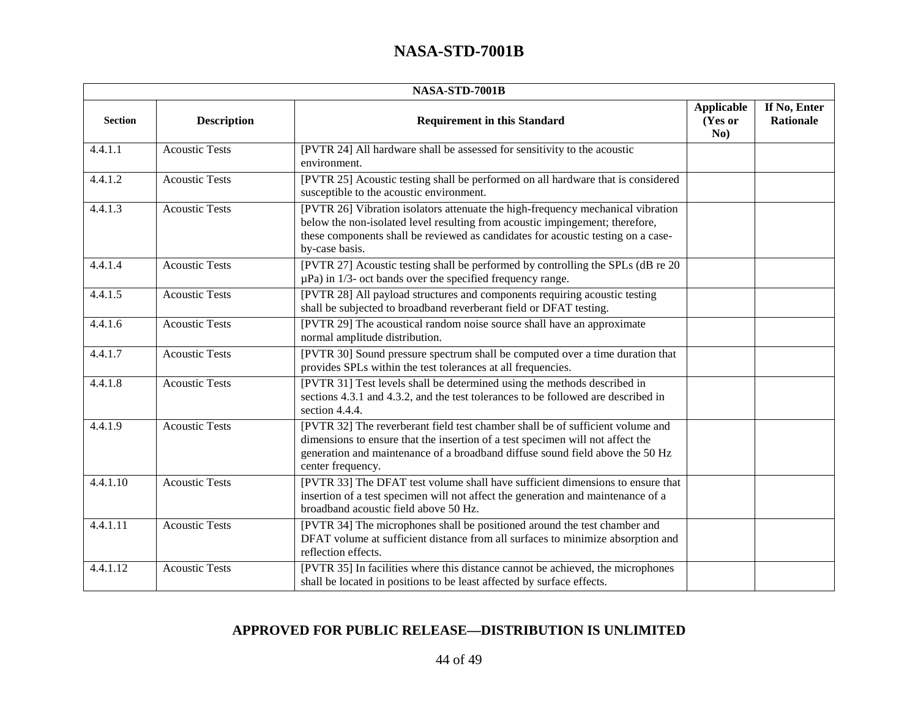|                | NASA-STD-7001B        |                                                                                                                                                                                                                                                                        |                                     |                                  |  |
|----------------|-----------------------|------------------------------------------------------------------------------------------------------------------------------------------------------------------------------------------------------------------------------------------------------------------------|-------------------------------------|----------------------------------|--|
| <b>Section</b> | <b>Description</b>    | <b>Requirement in this Standard</b>                                                                                                                                                                                                                                    | <b>Applicable</b><br>(Yes or<br>No) | If No, Enter<br><b>Rationale</b> |  |
| 4.4.1.1        | <b>Acoustic Tests</b> | [PVTR 24] All hardware shall be assessed for sensitivity to the acoustic<br>environment.                                                                                                                                                                               |                                     |                                  |  |
| 4.4.1.2        | <b>Acoustic Tests</b> | [PVTR 25] Acoustic testing shall be performed on all hardware that is considered<br>susceptible to the acoustic environment.                                                                                                                                           |                                     |                                  |  |
| 4.4.1.3        | <b>Acoustic Tests</b> | [PVTR 26] Vibration isolators attenuate the high-frequency mechanical vibration<br>below the non-isolated level resulting from acoustic impingement; therefore,<br>these components shall be reviewed as candidates for acoustic testing on a case-<br>by-case basis.  |                                     |                                  |  |
| 4.4.1.4        | <b>Acoustic Tests</b> | [PVTR 27] Acoustic testing shall be performed by controlling the SPLs (dB re 20)<br>$\mu$ Pa) in 1/3- oct bands over the specified frequency range.                                                                                                                    |                                     |                                  |  |
| 4.4.1.5        | <b>Acoustic Tests</b> | [PVTR 28] All payload structures and components requiring acoustic testing<br>shall be subjected to broadband reverberant field or DFAT testing.                                                                                                                       |                                     |                                  |  |
| 4.4.1.6        | <b>Acoustic Tests</b> | [PVTR 29] The acoustical random noise source shall have an approximate<br>normal amplitude distribution.                                                                                                                                                               |                                     |                                  |  |
| 4.4.1.7        | <b>Acoustic Tests</b> | [PVTR 30] Sound pressure spectrum shall be computed over a time duration that<br>provides SPLs within the test tolerances at all frequencies.                                                                                                                          |                                     |                                  |  |
| 4.4.1.8        | <b>Acoustic Tests</b> | [PVTR 31] Test levels shall be determined using the methods described in<br>sections 4.3.1 and 4.3.2, and the test tolerances to be followed are described in<br>section 4.4.4.                                                                                        |                                     |                                  |  |
| 4.4.1.9        | <b>Acoustic Tests</b> | [PVTR 32] The reverberant field test chamber shall be of sufficient volume and<br>dimensions to ensure that the insertion of a test specimen will not affect the<br>generation and maintenance of a broadband diffuse sound field above the 50 Hz<br>center frequency. |                                     |                                  |  |
| 4.4.1.10       | <b>Acoustic Tests</b> | [PVTR 33] The DFAT test volume shall have sufficient dimensions to ensure that<br>insertion of a test specimen will not affect the generation and maintenance of a<br>broadband acoustic field above 50 Hz.                                                            |                                     |                                  |  |
| 4.4.1.11       | <b>Acoustic Tests</b> | [PVTR 34] The microphones shall be positioned around the test chamber and<br>DFAT volume at sufficient distance from all surfaces to minimize absorption and<br>reflection effects.                                                                                    |                                     |                                  |  |
| 4.4.1.12       | <b>Acoustic Tests</b> | [PVTR 35] In facilities where this distance cannot be achieved, the microphones<br>shall be located in positions to be least affected by surface effects.                                                                                                              |                                     |                                  |  |

### **APPROVED FOR PUBLIC RELEASE—DISTRIBUTION IS UNLIMITED**

44 of 49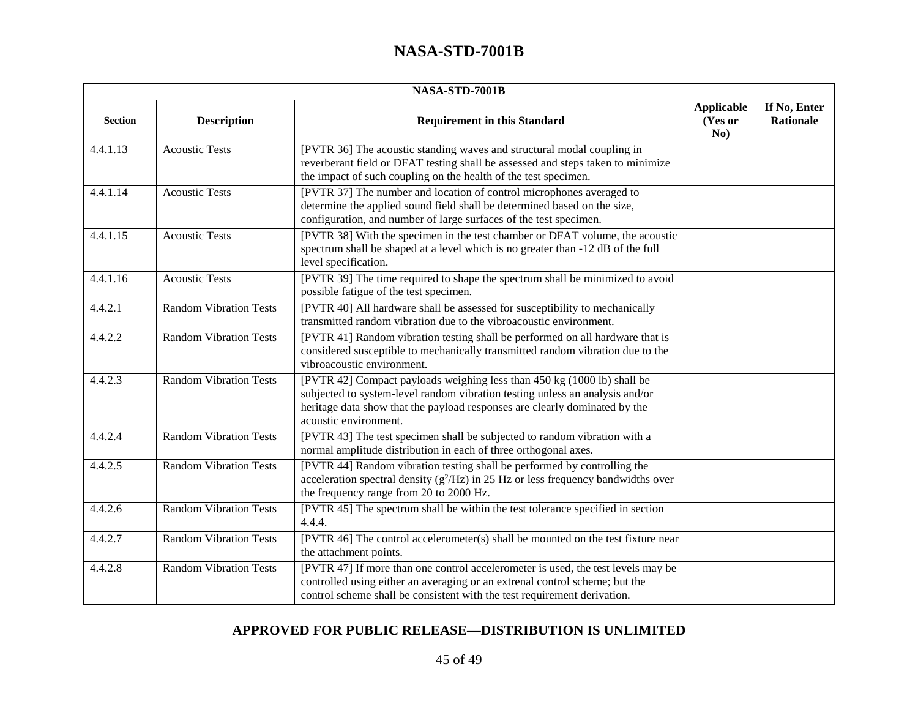|                | NASA-STD-7001B                |                                                                                                                                                                                                                                                                |                                     |                                  |  |
|----------------|-------------------------------|----------------------------------------------------------------------------------------------------------------------------------------------------------------------------------------------------------------------------------------------------------------|-------------------------------------|----------------------------------|--|
| <b>Section</b> | <b>Description</b>            | <b>Requirement in this Standard</b>                                                                                                                                                                                                                            | <b>Applicable</b><br>(Yes or<br>No) | If No, Enter<br><b>Rationale</b> |  |
| 4.4.1.13       | <b>Acoustic Tests</b>         | [PVTR 36] The acoustic standing waves and structural modal coupling in<br>reverberant field or DFAT testing shall be assessed and steps taken to minimize<br>the impact of such coupling on the health of the test specimen.                                   |                                     |                                  |  |
| 4.4.1.14       | <b>Acoustic Tests</b>         | [PVTR 37] The number and location of control microphones averaged to<br>determine the applied sound field shall be determined based on the size,<br>configuration, and number of large surfaces of the test specimen.                                          |                                     |                                  |  |
| 4.4.1.15       | <b>Acoustic Tests</b>         | [PVTR 38] With the specimen in the test chamber or DFAT volume, the acoustic<br>spectrum shall be shaped at a level which is no greater than -12 dB of the full<br>level specification.                                                                        |                                     |                                  |  |
| 4.4.1.16       | <b>Acoustic Tests</b>         | [PVTR 39] The time required to shape the spectrum shall be minimized to avoid<br>possible fatigue of the test specimen.                                                                                                                                        |                                     |                                  |  |
| 4.4.2.1        | <b>Random Vibration Tests</b> | [PVTR 40] All hardware shall be assessed for susceptibility to mechanically<br>transmitted random vibration due to the vibroacoustic environment.                                                                                                              |                                     |                                  |  |
| 4.4.2.2        | <b>Random Vibration Tests</b> | [PVTR 41] Random vibration testing shall be performed on all hardware that is<br>considered susceptible to mechanically transmitted random vibration due to the<br>vibroacoustic environment.                                                                  |                                     |                                  |  |
| 4.4.2.3        | <b>Random Vibration Tests</b> | [PVTR 42] Compact payloads weighing less than 450 kg (1000 lb) shall be<br>subjected to system-level random vibration testing unless an analysis and/or<br>heritage data show that the payload responses are clearly dominated by the<br>acoustic environment. |                                     |                                  |  |
| 4.4.2.4        | <b>Random Vibration Tests</b> | [PVTR 43] The test specimen shall be subjected to random vibration with a<br>normal amplitude distribution in each of three orthogonal axes.                                                                                                                   |                                     |                                  |  |
| 4.4.2.5        | <b>Random Vibration Tests</b> | [PVTR 44] Random vibration testing shall be performed by controlling the<br>acceleration spectral density ( $g^2$ /Hz) in 25 Hz or less frequency bandwidths over<br>the frequency range from 20 to 2000 Hz.                                                   |                                     |                                  |  |
| 4.4.2.6        | <b>Random Vibration Tests</b> | [PVTR 45] The spectrum shall be within the test tolerance specified in section<br>4.4.4.                                                                                                                                                                       |                                     |                                  |  |
| 4.4.2.7        | <b>Random Vibration Tests</b> | [PVTR 46] The control accelerometer(s) shall be mounted on the test fixture near<br>the attachment points.                                                                                                                                                     |                                     |                                  |  |
| 4.4.2.8        | <b>Random Vibration Tests</b> | [PVTR 47] If more than one control accelerometer is used, the test levels may be<br>controlled using either an averaging or an extrenal control scheme; but the<br>control scheme shall be consistent with the test requirement derivation.                    |                                     |                                  |  |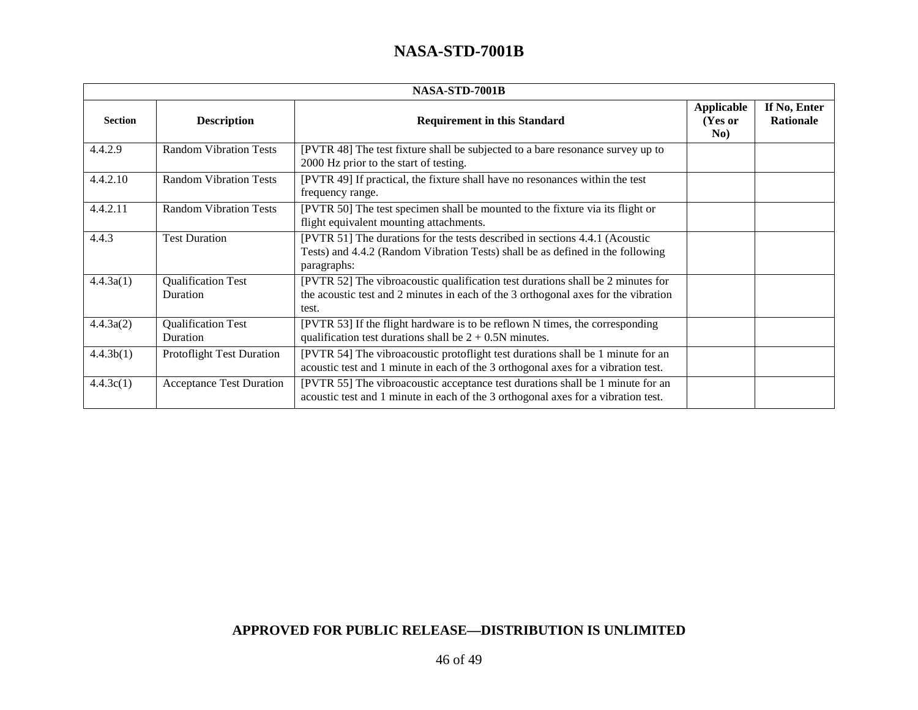| NASA-STD-7001B |                                       |                                                                                                                                                                                |                              |                                  |
|----------------|---------------------------------------|--------------------------------------------------------------------------------------------------------------------------------------------------------------------------------|------------------------------|----------------------------------|
| <b>Section</b> | <b>Description</b>                    | <b>Requirement in this Standard</b>                                                                                                                                            | Applicable<br>(Yes or<br>No) | If No, Enter<br><b>Rationale</b> |
| 4.4.2.9        | <b>Random Vibration Tests</b>         | [PVTR 48] The test fixture shall be subjected to a bare resonance survey up to<br>2000 Hz prior to the start of testing.                                                       |                              |                                  |
| 4.4.2.10       | <b>Random Vibration Tests</b>         | [PVTR 49] If practical, the fixture shall have no resonances within the test<br>frequency range.                                                                               |                              |                                  |
| 4.4.2.11       | <b>Random Vibration Tests</b>         | [PVTR 50] The test specimen shall be mounted to the fixture via its flight or<br>flight equivalent mounting attachments.                                                       |                              |                                  |
| 4.4.3          | <b>Test Duration</b>                  | [PVTR 51] The durations for the tests described in sections 4.4.1 (Acoustic<br>Tests) and 4.4.2 (Random Vibration Tests) shall be as defined in the following<br>paragraphs:   |                              |                                  |
| 4.4.3a(1)      | <b>Qualification Test</b><br>Duration | [PVTR 52] The vibroacoustic qualification test durations shall be 2 minutes for<br>the acoustic test and 2 minutes in each of the 3 orthogonal axes for the vibration<br>test. |                              |                                  |
| 4.4.3a(2)      | <b>Qualification Test</b><br>Duration | [PVTR 53] If the flight hardware is to be reflown N times, the corresponding<br>qualification test durations shall be $2 + 0.5N$ minutes.                                      |                              |                                  |
| 4.4.3b(1)      | <b>Protoflight Test Duration</b>      | [PVTR 54] The vibroacoustic protoflight test durations shall be 1 minute for an<br>acoustic test and 1 minute in each of the 3 orthogonal axes for a vibration test.           |                              |                                  |
| 4.4.3c(1)      | <b>Acceptance Test Duration</b>       | [PVTR 55] The vibroacoustic acceptance test durations shall be 1 minute for an<br>acoustic test and 1 minute in each of the 3 orthogonal axes for a vibration test.            |                              |                                  |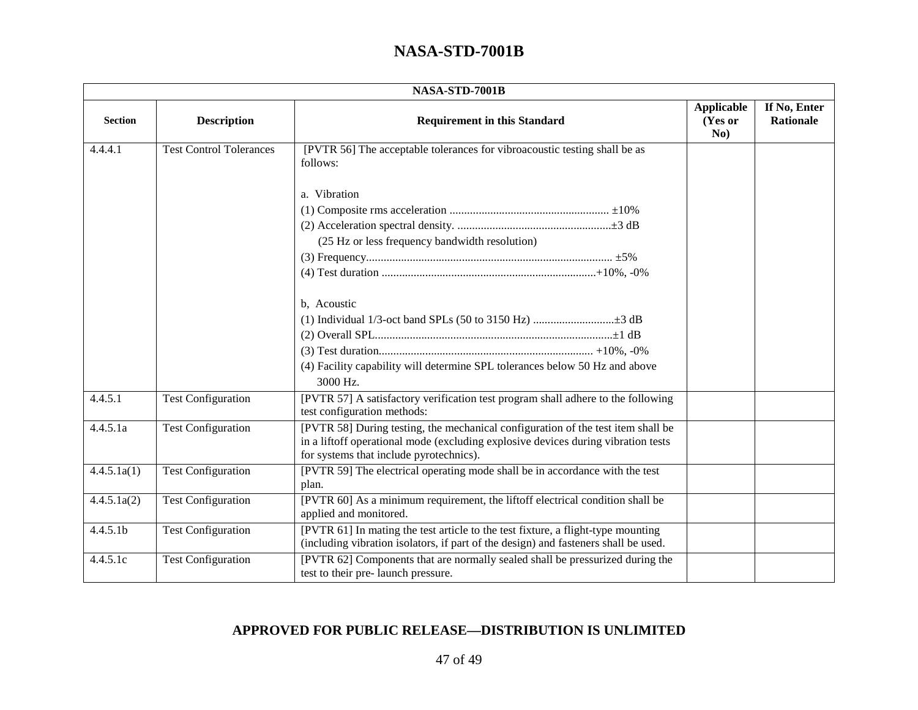| NASA-STD-7001B       |                                |                                                                                                                                                                                                                  |                                     |                                  |  |
|----------------------|--------------------------------|------------------------------------------------------------------------------------------------------------------------------------------------------------------------------------------------------------------|-------------------------------------|----------------------------------|--|
| <b>Section</b>       | <b>Description</b>             | <b>Requirement in this Standard</b>                                                                                                                                                                              | <b>Applicable</b><br>(Yes or<br>No) | If No, Enter<br><b>Rationale</b> |  |
| 4.4.4.1              | <b>Test Control Tolerances</b> | [PVTR 56] The acceptable tolerances for vibroacoustic testing shall be as<br>follows:                                                                                                                            |                                     |                                  |  |
|                      |                                | a. Vibration                                                                                                                                                                                                     |                                     |                                  |  |
|                      |                                |                                                                                                                                                                                                                  |                                     |                                  |  |
|                      |                                |                                                                                                                                                                                                                  |                                     |                                  |  |
|                      |                                | (25 Hz or less frequency bandwidth resolution)                                                                                                                                                                   |                                     |                                  |  |
|                      |                                |                                                                                                                                                                                                                  |                                     |                                  |  |
|                      |                                |                                                                                                                                                                                                                  |                                     |                                  |  |
|                      |                                | b, Acoustic                                                                                                                                                                                                      |                                     |                                  |  |
|                      |                                |                                                                                                                                                                                                                  |                                     |                                  |  |
|                      |                                |                                                                                                                                                                                                                  |                                     |                                  |  |
|                      |                                |                                                                                                                                                                                                                  |                                     |                                  |  |
|                      |                                | (4) Facility capability will determine SPL tolerances below 50 Hz and above<br>3000 Hz.                                                                                                                          |                                     |                                  |  |
| 4.4.5.1              | <b>Test Configuration</b>      | [PVTR 57] A satisfactory verification test program shall adhere to the following<br>test configuration methods:                                                                                                  |                                     |                                  |  |
| 4.4.5.1a             | <b>Test Configuration</b>      | [PVTR 58] During testing, the mechanical configuration of the test item shall be<br>in a liftoff operational mode (excluding explosive devices during vibration tests<br>for systems that include pyrotechnics). |                                     |                                  |  |
| 4.4.5.1a(1)          | <b>Test Configuration</b>      | [PVTR 59] The electrical operating mode shall be in accordance with the test<br>plan.                                                                                                                            |                                     |                                  |  |
| 4.4.5.1a(2)          | <b>Test Configuration</b>      | [PVTR 60] As a minimum requirement, the liftoff electrical condition shall be<br>applied and monitored.                                                                                                          |                                     |                                  |  |
| 4.4.5.1 <sub>b</sub> | <b>Test Configuration</b>      | [PVTR 61] In mating the test article to the test fixture, a flight-type mounting<br>(including vibration isolators, if part of the design) and fasteners shall be used.                                          |                                     |                                  |  |
| 4.4.5.1c             | <b>Test Configuration</b>      | [PVTR 62] Components that are normally sealed shall be pressurized during the<br>test to their pre- launch pressure.                                                                                             |                                     |                                  |  |

### **APPROVED FOR PUBLIC RELEASE—DISTRIBUTION IS UNLIMITED**

47 of 49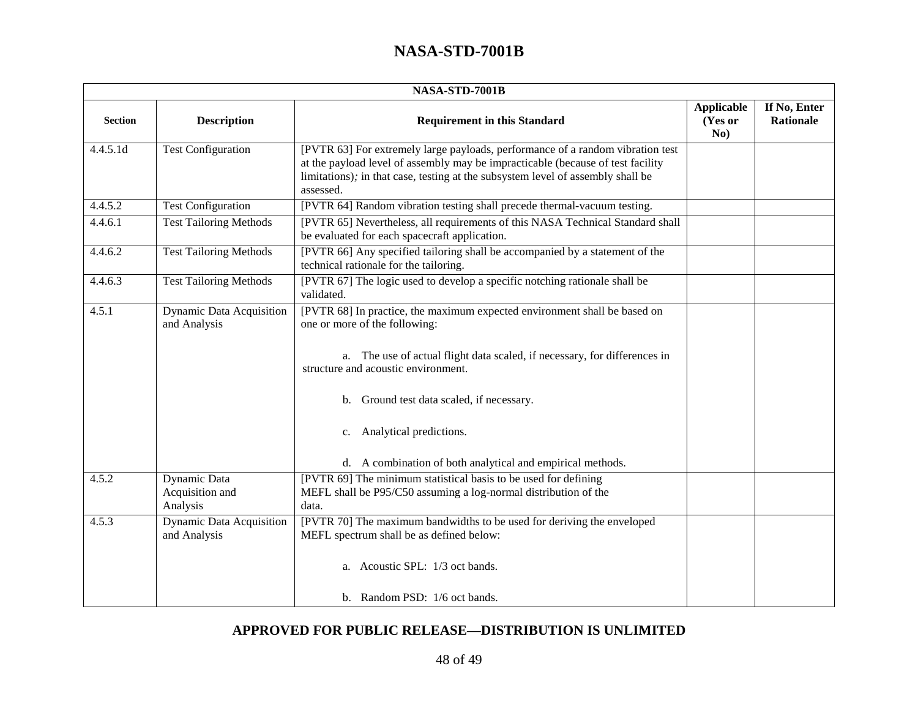| NASA-STD-7001B |                                                 |                                                                                                                                                                                                                                                                                                                                                                         |                                     |                                  |
|----------------|-------------------------------------------------|-------------------------------------------------------------------------------------------------------------------------------------------------------------------------------------------------------------------------------------------------------------------------------------------------------------------------------------------------------------------------|-------------------------------------|----------------------------------|
| <b>Section</b> | <b>Description</b>                              | <b>Requirement in this Standard</b>                                                                                                                                                                                                                                                                                                                                     | <b>Applicable</b><br>(Yes or<br>No) | If No, Enter<br><b>Rationale</b> |
| 4.4.5.1d       | <b>Test Configuration</b>                       | [PVTR 63] For extremely large payloads, performance of a random vibration test<br>at the payload level of assembly may be impracticable (because of test facility<br>limitations); in that case, testing at the subsystem level of assembly shall be<br>assessed.                                                                                                       |                                     |                                  |
| 4.4.5.2        | <b>Test Configuration</b>                       | [PVTR 64] Random vibration testing shall precede thermal-vacuum testing.                                                                                                                                                                                                                                                                                                |                                     |                                  |
| 4.4.6.1        | <b>Test Tailoring Methods</b>                   | [PVTR 65] Nevertheless, all requirements of this NASA Technical Standard shall<br>be evaluated for each spacecraft application.                                                                                                                                                                                                                                         |                                     |                                  |
| 4.4.6.2        | <b>Test Tailoring Methods</b>                   | [PVTR 66] Any specified tailoring shall be accompanied by a statement of the<br>technical rationale for the tailoring.                                                                                                                                                                                                                                                  |                                     |                                  |
| 4.4.6.3        | <b>Test Tailoring Methods</b>                   | [PVTR 67] The logic used to develop a specific notching rationale shall be<br>validated.                                                                                                                                                                                                                                                                                |                                     |                                  |
| 4.5.1          | <b>Dynamic Data Acquisition</b><br>and Analysis | [PVTR 68] In practice, the maximum expected environment shall be based on<br>one or more of the following:<br>a. The use of actual flight data scaled, if necessary, for differences in<br>structure and acoustic environment.<br>b. Ground test data scaled, if necessary.<br>c. Analytical predictions.<br>d. A combination of both analytical and empirical methods. |                                     |                                  |
| 4.5.2          | Dynamic Data<br>Acquisition and<br>Analysis     | [PVTR 69] The minimum statistical basis to be used for defining<br>MEFL shall be P95/C50 assuming a log-normal distribution of the<br>data.                                                                                                                                                                                                                             |                                     |                                  |
| 4.5.3          | <b>Dynamic Data Acquisition</b><br>and Analysis | [PVTR 70] The maximum bandwidths to be used for deriving the enveloped<br>MEFL spectrum shall be as defined below:<br>a. Acoustic SPL: 1/3 oct bands.                                                                                                                                                                                                                   |                                     |                                  |
|                |                                                 | b. Random PSD: 1/6 oct bands.                                                                                                                                                                                                                                                                                                                                           |                                     |                                  |